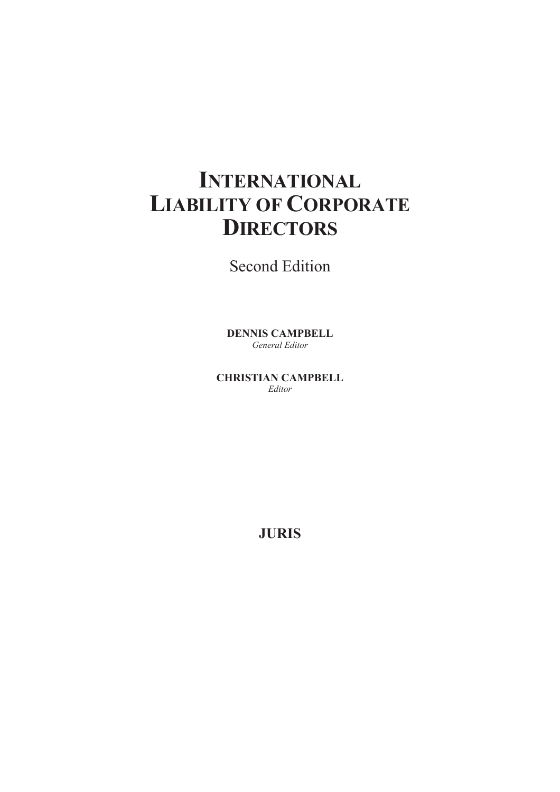# **INTERNATIONAL LIABILITY OF CORPORATE DIRECTORS**

Second Edition

**DENNIS CAMPBELL**  *General Editor* 

**CHRISTIAN CAMPBELL**  *Editor* 

**JURIS**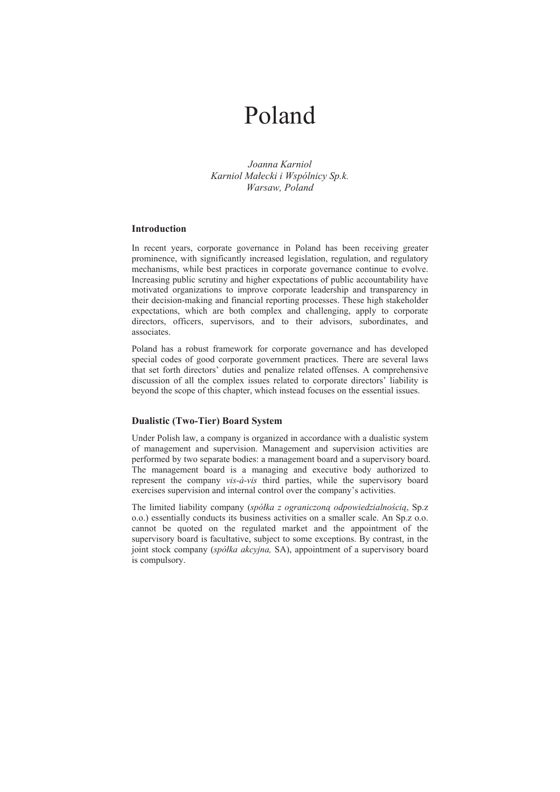# Poland

*Joanna Karniol Karniol MaŽecki i Wspólnicy Sp.k. Warsaw, Poland* 

# **Introduction**

In recent years, corporate governance in Poland has been receiving greater prominence, with significantly increased legislation, regulation, and regulatory mechanisms, while best practices in corporate governance continue to evolve. Increasing public scrutiny and higher expectations of public accountability have motivated organizations to improve corporate leadership and transparency in their decision-making and financial reporting processes. These high stakeholder expectations, which are both complex and challenging, apply to corporate directors, officers, supervisors, and to their advisors, subordinates, and associates.

Poland has a robust framework for corporate governance and has developed special codes of good corporate government practices. There are several laws that set forth directors' duties and penalize related offenses. A comprehensive discussion of all the complex issues related to corporate directors' liability is beyond the scope of this chapter, which instead focuses on the essential issues.

# **Dualistic (Two-Tier) Board System**

Under Polish law, a company is organized in accordance with a dualistic system of management and supervision. Management and supervision activities are performed by two separate bodies: a management board and a supervisory board. The management board is a managing and executive body authorized to represent the company *vis-à-vis* third parties, while the supervisory board exercises supervision and internal control over the company's activities.

The limited liability company (spółka z ograniczoną odpowiedzialnością, Sp.z o.o.) essentially conducts its business activities on a smaller scale. An Sp.z o.o. cannot be quoted on the regulated market and the appointment of the supervisory board is facultative, subject to some exceptions. By contrast, in the joint stock company (*spóŽka akcyjna,* SA), appointment of a supervisory board is compulsory.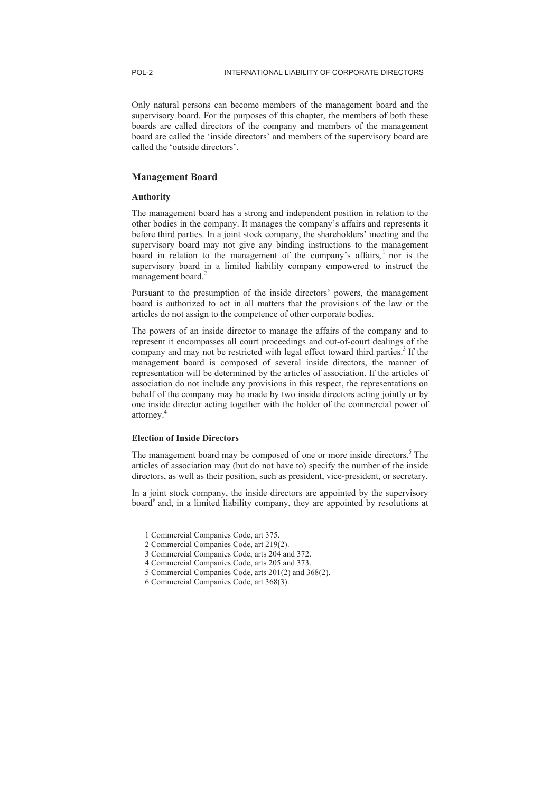Only natural persons can become members of the management board and the supervisory board. For the purposes of this chapter, the members of both these boards are called directors of the company and members of the management board are called the 'inside directors' and members of the supervisory board are called the 'outside directors'.

# **Management Board**

# **Authority**

The management board has a strong and independent position in relation to the other bodies in the company. It manages the company's affairs and represents it before third parties. In a joint stock company, the shareholders' meeting and the supervisory board may not give any binding instructions to the management board in relation to the management of the company's affairs,  $\frac{1}{1}$  nor is the supervisory board in a limited liability company empowered to instruct the management board.<sup>2</sup>

Pursuant to the presumption of the inside directors' powers, the management board is authorized to act in all matters that the provisions of the law or the articles do not assign to the competence of other corporate bodies.

The powers of an inside director to manage the affairs of the company and to represent it encompasses all court proceedings and out-of-court dealings of the company and may not be restricted with legal effect toward third parties.<sup>3</sup> If the management board is composed of several inside directors, the manner of representation will be determined by the articles of association. If the articles of association do not include any provisions in this respect, the representations on behalf of the company may be made by two inside directors acting jointly or by one inside director acting together with the holder of the commercial power of attorney.<sup>4</sup>

# **Election of Inside Directors**

 $\overline{a}$ 

The management board may be composed of one or more inside directors.<sup>5</sup> The articles of association may (but do not have to) specify the number of the inside directors, as well as their position, such as president, vice-president, or secretary.

In a joint stock company, the inside directors are appointed by the supervisory board<sup>6</sup> and, in a limited liability company, they are appointed by resolutions at

<sup>1</sup> Commercial Companies Code, art 375.

<sup>2</sup> Commercial Companies Code, art 219(2).

<sup>3</sup> Commercial Companies Code, arts 204 and 372.

<sup>4</sup> Commercial Companies Code, arts 205 and 373.

<sup>5</sup> Commercial Companies Code, arts 201(2) and 368(2).

<sup>6</sup> Commercial Companies Code, art 368(3).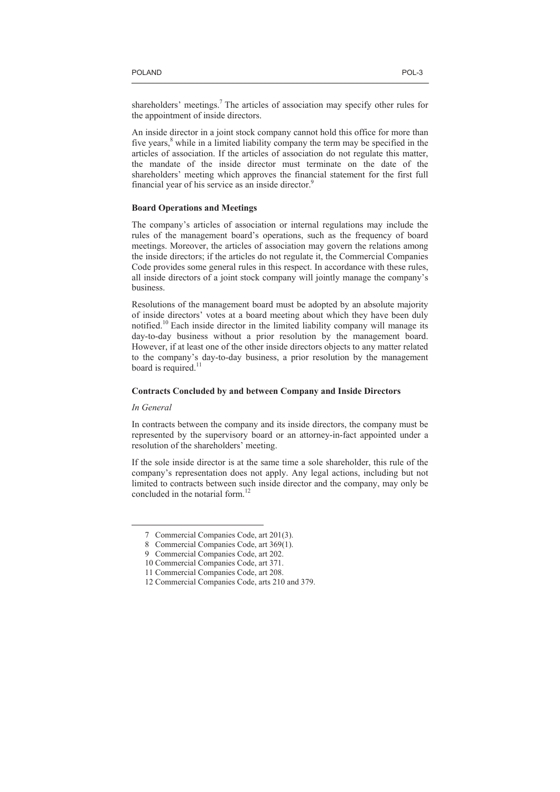shareholders' meetings.<sup>7</sup> The articles of association may specify other rules for the appointment of inside directors.

An inside director in a joint stock company cannot hold this office for more than five years, $8$  while in a limited liability company the term may be specified in the articles of association. If the articles of association do not regulate this matter, the mandate of the inside director must terminate on the date of the shareholders' meeting which approves the financial statement for the first full financial year of his service as an inside director.<sup>9</sup>

## **Board Operations and Meetings**

The company's articles of association or internal regulations may include the rules of the management board's operations, such as the frequency of board meetings. Moreover, the articles of association may govern the relations among the inside directors; if the articles do not regulate it, the Commercial Companies Code provides some general rules in this respect. In accordance with these rules, all inside directors of a joint stock company will jointly manage the company's business.

Resolutions of the management board must be adopted by an absolute majority of inside directors' votes at a board meeting about which they have been duly notified.<sup>10</sup> Each inside director in the limited liability company will manage its day-to-day business without a prior resolution by the management board. However, if at least one of the other inside directors objects to any matter related to the company's day-to-day business, a prior resolution by the management board is required.<sup>11</sup>

#### **Contracts Concluded by and between Company and Inside Directors**

# *In General*

 $\overline{a}$ 

In contracts between the company and its inside directors, the company must be represented by the supervisory board or an attorney-in-fact appointed under a resolution of the shareholders' meeting.

If the sole inside director is at the same time a sole shareholder, this rule of the company's representation does not apply. Any legal actions, including but not limited to contracts between such inside director and the company, may only be concluded in the notarial form.<sup>12</sup>

<sup>7</sup> Commercial Companies Code, art 201(3).

<sup>8</sup> Commercial Companies Code, art 369(1).

<sup>9</sup> Commercial Companies Code, art 202.

<sup>10</sup> Commercial Companies Code, art 371.

<sup>11</sup> Commercial Companies Code, art 208.

<sup>12</sup> Commercial Companies Code, arts 210 and 379.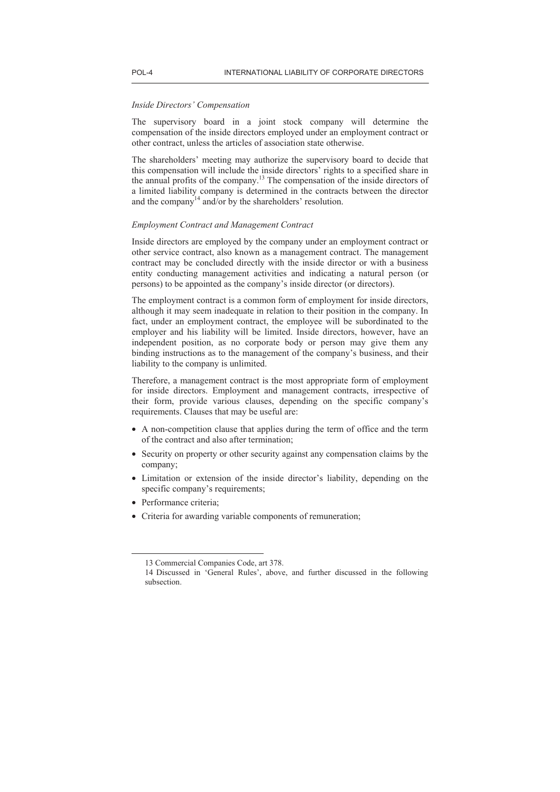#### *Inside Directors' Compensation*

The supervisory board in a joint stock company will determine the compensation of the inside directors employed under an employment contract or other contract, unless the articles of association state otherwise.

The shareholders' meeting may authorize the supervisory board to decide that this compensation will include the inside directors' rights to a specified share in the annual profits of the company.<sup>13</sup> The compensation of the inside directors of a limited liability company is determined in the contracts between the director and the company<sup>14</sup> and/or by the shareholders' resolution.

## *Employment Contract and Management Contract*

Inside directors are employed by the company under an employment contract or other service contract, also known as a management contract. The management contract may be concluded directly with the inside director or with a business entity conducting management activities and indicating a natural person (or persons) to be appointed as the company's inside director (or directors).

The employment contract is a common form of employment for inside directors, although it may seem inadequate in relation to their position in the company. In fact, under an employment contract, the employee will be subordinated to the employer and his liability will be limited. Inside directors, however, have an independent position, as no corporate body or person may give them any binding instructions as to the management of the company's business, and their liability to the company is unlimited.

Therefore, a management contract is the most appropriate form of employment for inside directors. Employment and management contracts, irrespective of their form, provide various clauses, depending on the specific company's requirements. Clauses that may be useful are:

- A non-competition clause that applies during the term of office and the term of the contract and also after termination;
- Security on property or other security against any compensation claims by the company;
- Limitation or extension of the inside director's liability, depending on the specific company's requirements;
- Performance criteria;

 $\overline{a}$ 

• Criteria for awarding variable components of remuneration;

<sup>13</sup> Commercial Companies Code, art 378.

<sup>14</sup> Discussed in 'General Rules', above, and further discussed in the following subsection.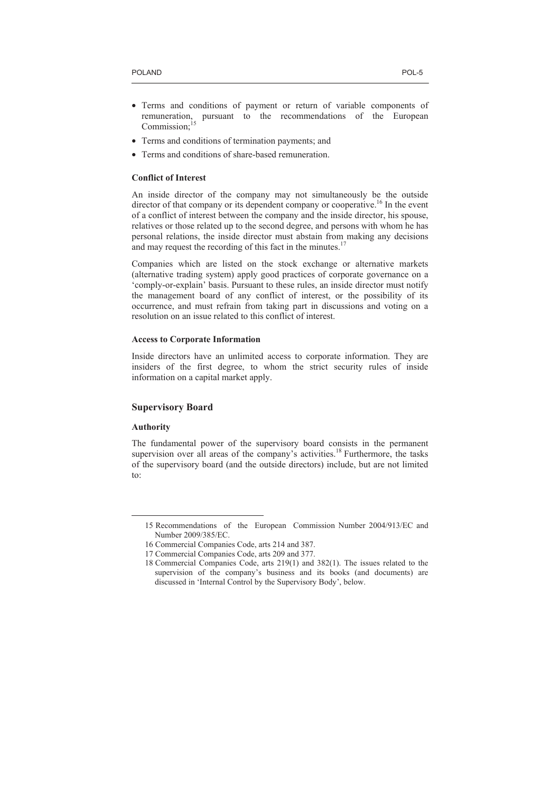- Terms and conditions of payment or return of variable components of remuneration, pursuant to the recommendations of the European Commission;<sup>15</sup>
- Terms and conditions of termination payments; and
- Terms and conditions of share-based remuneration.

# **Conflict of Interest**

An inside director of the company may not simultaneously be the outside director of that company or its dependent company or cooperative.<sup>16</sup> In the event of a conflict of interest between the company and the inside director, his spouse, relatives or those related up to the second degree, and persons with whom he has personal relations, the inside director must abstain from making any decisions and may request the recording of this fact in the minutes.<sup>17</sup>

Companies which are listed on the stock exchange or alternative markets (alternative trading system) apply good practices of corporate governance on a 'comply-or-explain' basis. Pursuant to these rules, an inside director must notify the management board of any conflict of interest, or the possibility of its occurrence, and must refrain from taking part in discussions and voting on a resolution on an issue related to this conflict of interest.

#### **Access to Corporate Information**

Inside directors have an unlimited access to corporate information. They are insiders of the first degree, to whom the strict security rules of inside information on a capital market apply.

# **Supervisory Board**

# **Authority**

 $\overline{a}$ 

The fundamental power of the supervisory board consists in the permanent supervision over all areas of the company's activities.<sup>18</sup> Furthermore, the tasks of the supervisory board (and the outside directors) include, but are not limited to:

<sup>15</sup> Recommendations of the European Commission Number 2004/913/EC and Number 2009/385/EC.

<sup>16</sup> Commercial Companies Code, arts 214 and 387.

<sup>17</sup> Commercial Companies Code, arts 209 and 377.

<sup>18</sup> Commercial Companies Code, arts 219(1) and 382(1). The issues related to the supervision of the company's business and its books (and documents) are discussed in 'Internal Control by the Supervisory Body', below.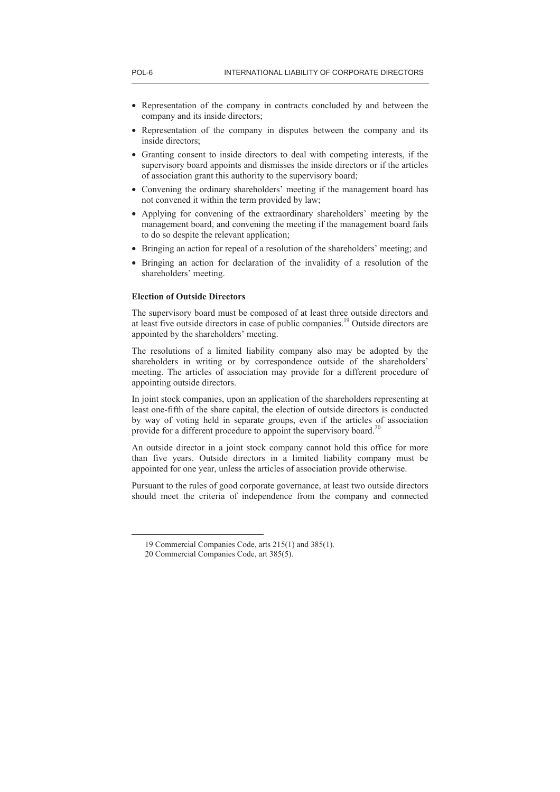- Representation of the company in contracts concluded by and between the company and its inside directors;
- Representation of the company in disputes between the company and its inside directors;
- Granting consent to inside directors to deal with competing interests, if the supervisory board appoints and dismisses the inside directors or if the articles of association grant this authority to the supervisory board;
- Convening the ordinary shareholders' meeting if the management board has not convened it within the term provided by law;
- Applying for convening of the extraordinary shareholders' meeting by the management board, and convening the meeting if the management board fails to do so despite the relevant application;
- Bringing an action for repeal of a resolution of the shareholders' meeting; and
- Bringing an action for declaration of the invalidity of a resolution of the shareholders' meeting.

# **Election of Outside Directors**

The supervisory board must be composed of at least three outside directors and at least five outside directors in case of public companies.<sup>19</sup> Outside directors are appointed by the shareholders' meeting.

The resolutions of a limited liability company also may be adopted by the shareholders in writing or by correspondence outside of the shareholders' meeting. The articles of association may provide for a different procedure of appointing outside directors.

In joint stock companies, upon an application of the shareholders representing at least one-fifth of the share capital, the election of outside directors is conducted by way of voting held in separate groups, even if the articles of association provide for a different procedure to appoint the supervisory board.<sup>20</sup>

An outside director in a joint stock company cannot hold this office for more than five years. Outside directors in a limited liability company must be appointed for one year, unless the articles of association provide otherwise.

Pursuant to the rules of good corporate governance, at least two outside directors should meet the criteria of independence from the company and connected

<sup>19</sup> Commercial Companies Code, arts 215(1) and 385(1).

<sup>20</sup> Commercial Companies Code, art 385(5).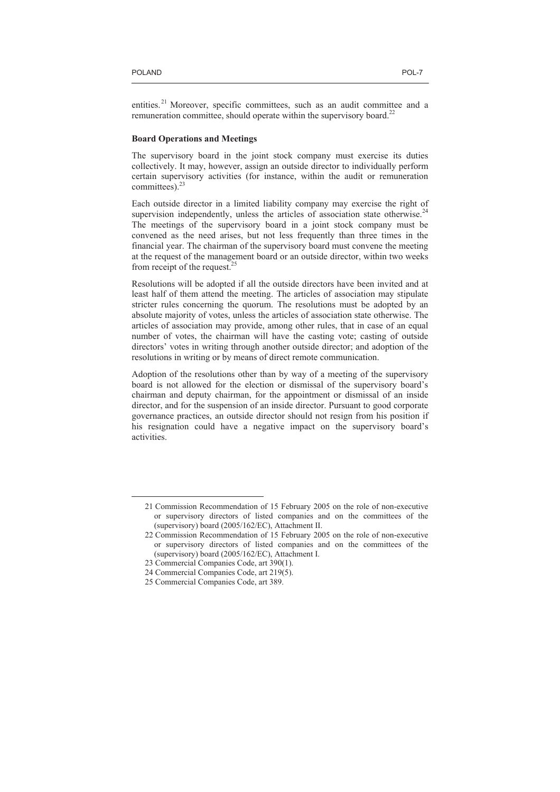$\overline{a}$ 

entities.<sup>21</sup> Moreover, specific committees, such as an audit committee and a remuneration committee, should operate within the supervisory board.<sup>22</sup>

#### **Board Operations and Meetings**

The supervisory board in the joint stock company must exercise its duties collectively. It may, however, assign an outside director to individually perform certain supervisory activities (for instance, within the audit or remuneration committees). $23$ 

Each outside director in a limited liability company may exercise the right of supervision independently, unless the articles of association state otherwise.<sup>24</sup> The meetings of the supervisory board in a joint stock company must be convened as the need arises, but not less frequently than three times in the financial year. The chairman of the supervisory board must convene the meeting at the request of the management board or an outside director, within two weeks from receipt of the request.<sup>25</sup>

Resolutions will be adopted if all the outside directors have been invited and at least half of them attend the meeting. The articles of association may stipulate stricter rules concerning the quorum. The resolutions must be adopted by an absolute majority of votes, unless the articles of association state otherwise. The articles of association may provide, among other rules, that in case of an equal number of votes, the chairman will have the casting vote; casting of outside directors' votes in writing through another outside director; and adoption of the resolutions in writing or by means of direct remote communication.

Adoption of the resolutions other than by way of a meeting of the supervisory board is not allowed for the election or dismissal of the supervisory board's chairman and deputy chairman, for the appointment or dismissal of an inside director, and for the suspension of an inside director. Pursuant to good corporate governance practices, an outside director should not resign from his position if his resignation could have a negative impact on the supervisory board's activities.

<sup>21</sup> Commission Recommendation of 15 February 2005 on the role of non-executive or supervisory directors of listed companies and on the committees of the (supervisory) board (2005/162/EC), Attachment II.

<sup>22</sup> Commission Recommendation of 15 February 2005 on the role of non-executive or supervisory directors of listed companies and on the committees of the (supervisory) board (2005/162/EC), Attachment I.

<sup>23</sup> Commercial Companies Code, art 390(1).

<sup>24</sup> Commercial Companies Code, art 219(5).

<sup>25</sup> Commercial Companies Code, art 389.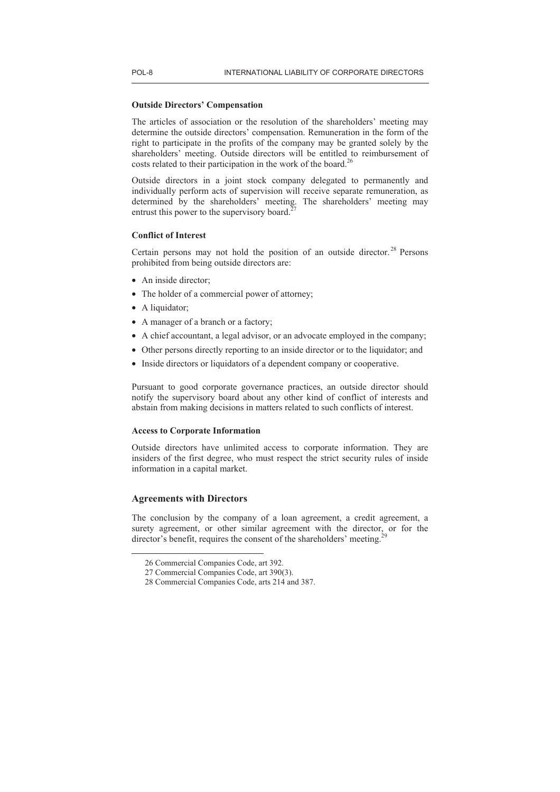## **Outside Directors' Compensation**

The articles of association or the resolution of the shareholders' meeting may determine the outside directors' compensation. Remuneration in the form of the right to participate in the profits of the company may be granted solely by the shareholders' meeting. Outside directors will be entitled to reimbursement of costs related to their participation in the work of the board.<sup>2</sup>

Outside directors in a joint stock company delegated to permanently and individually perform acts of supervision will receive separate remuneration, as determined by the shareholders' meeting. The shareholders' meeting may entrust this power to the supervisory board.<sup>2</sup>

# **Conflict of Interest**

Certain persons may not hold the position of an outside director.<sup>28</sup> Persons prohibited from being outside directors are:

- An inside director:
- The holder of a commercial power of attorney;
- A liquidator;
- A manager of a branch or a factory;
- A chief accountant, a legal advisor, or an advocate employed in the company;
- Other persons directly reporting to an inside director or to the liquidator; and
- Inside directors or liquidators of a dependent company or cooperative.

Pursuant to good corporate governance practices, an outside director should notify the supervisory board about any other kind of conflict of interests and abstain from making decisions in matters related to such conflicts of interest.

# **Access to Corporate Information**

Outside directors have unlimited access to corporate information. They are insiders of the first degree, who must respect the strict security rules of inside information in a capital market.

# **Agreements with Directors**

 $\overline{a}$ 

The conclusion by the company of a loan agreement, a credit agreement, a surety agreement, or other similar agreement with the director, or for the director's benefit, requires the consent of the shareholders' meeting.

<sup>26</sup> Commercial Companies Code, art 392.

<sup>27</sup> Commercial Companies Code, art 390(3).

<sup>28</sup> Commercial Companies Code, arts 214 and 387.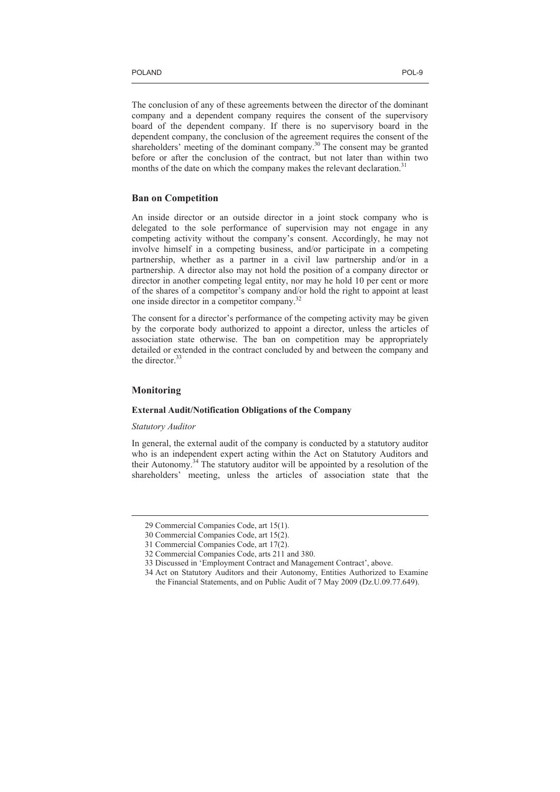The conclusion of any of these agreements between the director of the dominant company and a dependent company requires the consent of the supervisory board of the dependent company. If there is no supervisory board in the dependent company, the conclusion of the agreement requires the consent of the shareholders' meeting of the dominant company.<sup>30</sup> The consent may be granted before or after the conclusion of the contract, but not later than within two months of the date on which the company makes the relevant declaration.<sup>31</sup>

# **Ban on Competition**

An inside director or an outside director in a joint stock company who is delegated to the sole performance of supervision may not engage in any competing activity without the company's consent. Accordingly, he may not involve himself in a competing business, and/or participate in a competing partnership, whether as a partner in a civil law partnership and/or in a partnership. A director also may not hold the position of a company director or director in another competing legal entity, nor may he hold 10 per cent or more of the shares of a competitor's company and/or hold the right to appoint at least one inside director in a competitor company.<sup>32</sup>

The consent for a director's performance of the competing activity may be given by the corporate body authorized to appoint a director, unless the articles of association state otherwise. The ban on competition may be appropriately detailed or extended in the contract concluded by and between the company and the director  $33$ 

# **Monitoring**

 $\overline{a}$ 

# **External Audit/Notification Obligations of the Company**

# *Statutory Auditor*

In general, the external audit of the company is conducted by a statutory auditor who is an independent expert acting within the Act on Statutory Auditors and their Autonomy.<sup>34</sup> The statutory auditor will be appointed by a resolution of the shareholders' meeting, unless the articles of association state that the

<sup>29</sup> Commercial Companies Code, art 15(1).

<sup>30</sup> Commercial Companies Code, art 15(2).

<sup>31</sup> Commercial Companies Code, art 17(2).

<sup>32</sup> Commercial Companies Code, arts 211 and 380.

<sup>33</sup> Discussed in 'Employment Contract and Management Contract', above.

<sup>34</sup> Act on Statutory Auditors and their Autonomy, Entities Authorized to Examine the Financial Statements, and on Public Audit of 7 May 2009 (Dz.U.09.77.649).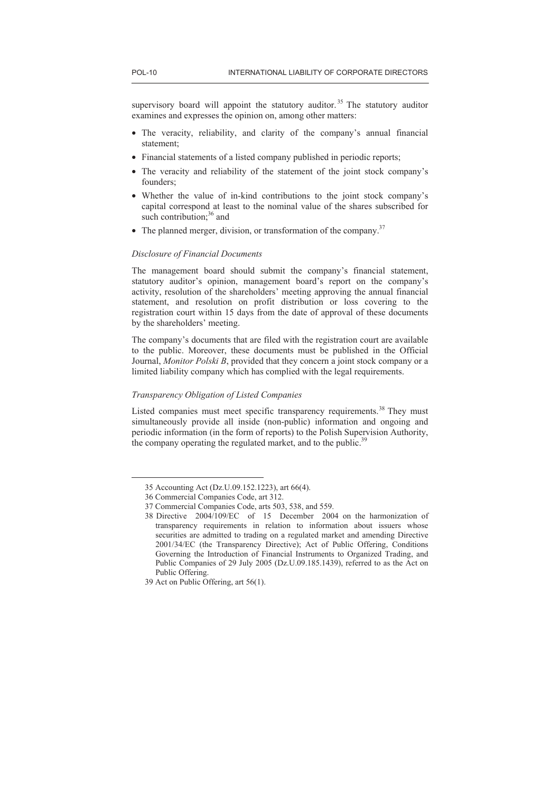supervisory board will appoint the statutory auditor.<sup>35</sup> The statutory auditor examines and expresses the opinion on, among other matters:

- The veracity, reliability, and clarity of the company's annual financial statement;
- Financial statements of a listed company published in periodic reports;
- The veracity and reliability of the statement of the joint stock company's founders;
- Whether the value of in-kind contributions to the joint stock company's capital correspond at least to the nominal value of the shares subscribed for such contribution; $36$  and
- The planned merger, division, or transformation of the company.<sup>37</sup>

# *Disclosure of Financial Documents*

The management board should submit the company's financial statement, statutory auditor's opinion, management board's report on the company's activity, resolution of the shareholders' meeting approving the annual financial statement, and resolution on profit distribution or loss covering to the registration court within 15 days from the date of approval of these documents by the shareholders' meeting.

The company's documents that are filed with the registration court are available to the public. Moreover, these documents must be published in the Official Journal, *Monitor Polski B*, provided that they concern a joint stock company or a limited liability company which has complied with the legal requirements.

## *Transparency Obligation of Listed Companies*

Listed companies must meet specific transparency requirements.<sup>38</sup> They must simultaneously provide all inside (non-public) information and ongoing and periodic information (in the form of reports) to the Polish Supervision Authority, the company operating the regulated market, and to the public.<sup>39</sup>

<sup>35</sup> Accounting Act (Dz.U.09.152.1223), art 66(4).

<sup>36</sup> Commercial Companies Code, art 312.

<sup>37</sup> Commercial Companies Code, arts 503, 538, and 559.

<sup>38</sup> Directive 2004/109/EC of 15 December 2004 on the harmonization of transparency requirements in relation to information about issuers whose securities are admitted to trading on a regulated market and amending Directive 2001/34/EC (the Transparency Directive); Act of Public Offering, Conditions Governing the Introduction of Financial Instruments to Organized Trading, and Public Companies of 29 July 2005 (Dz.U.09.185.1439), referred to as the Act on Public Offering.

<sup>39</sup> Act on Public Offering, art 56(1).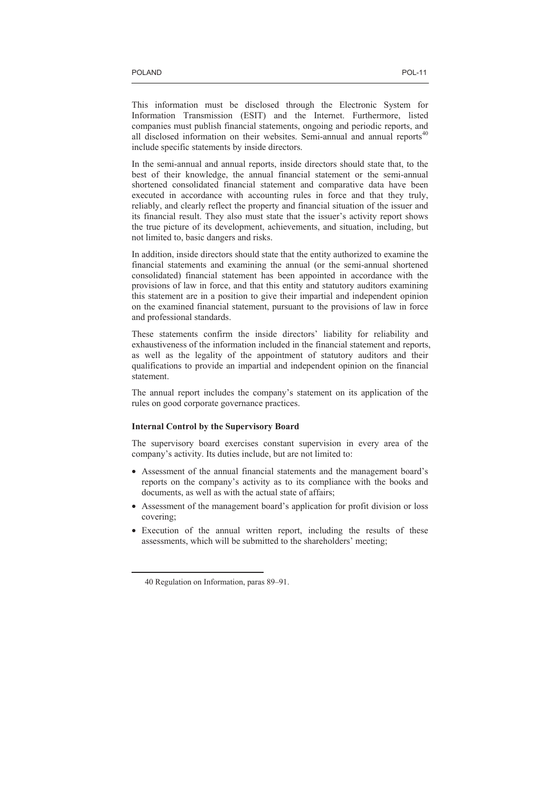This information must be disclosed through the Electronic System for Information Transmission (ESIT) and the Internet. Furthermore, listed companies must publish financial statements, ongoing and periodic reports, and all disclosed information on their websites. Semi-annual and annual reports<sup>40</sup> include specific statements by inside directors.

In the semi-annual and annual reports, inside directors should state that, to the best of their knowledge, the annual financial statement or the semi-annual shortened consolidated financial statement and comparative data have been executed in accordance with accounting rules in force and that they truly, reliably, and clearly reflect the property and financial situation of the issuer and its financial result. They also must state that the issuer's activity report shows the true picture of its development, achievements, and situation, including, but not limited to, basic dangers and risks.

In addition, inside directors should state that the entity authorized to examine the financial statements and examining the annual (or the semi-annual shortened consolidated) financial statement has been appointed in accordance with the provisions of law in force, and that this entity and statutory auditors examining this statement are in a position to give their impartial and independent opinion on the examined financial statement, pursuant to the provisions of law in force and professional standards.

These statements confirm the inside directors' liability for reliability and exhaustiveness of the information included in the financial statement and reports, as well as the legality of the appointment of statutory auditors and their qualifications to provide an impartial and independent opinion on the financial statement.

The annual report includes the company's statement on its application of the rules on good corporate governance practices.

# **Internal Control by the Supervisory Board**

The supervisory board exercises constant supervision in every area of the company's activity. Its duties include, but are not limited to:

- Assessment of the annual financial statements and the management board's reports on the company's activity as to its compliance with the books and documents, as well as with the actual state of affairs;
- Assessment of the management board's application for profit division or loss covering;
- Execution of the annual written report, including the results of these assessments, which will be submitted to the shareholders' meeting;

<sup>40</sup> Regulation on Information, paras 89–91.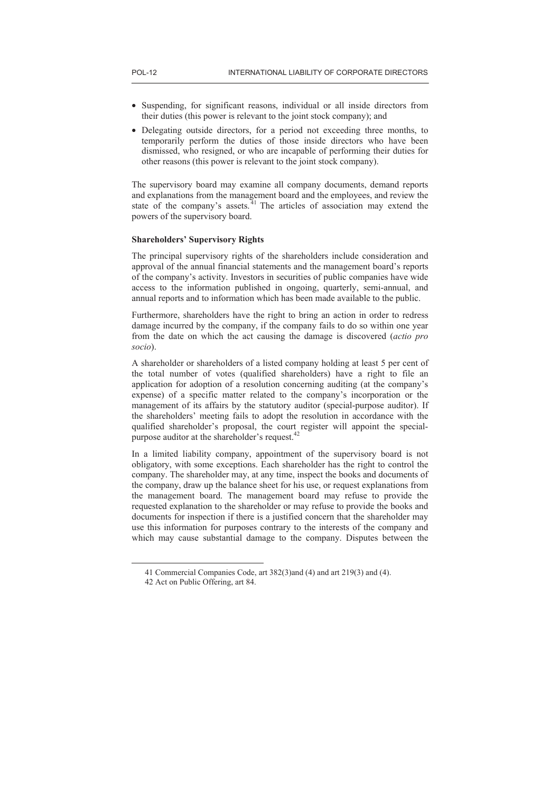- Suspending, for significant reasons, individual or all inside directors from their duties (this power is relevant to the joint stock company); and
- Delegating outside directors, for a period not exceeding three months, to temporarily perform the duties of those inside directors who have been dismissed, who resigned, or who are incapable of performing their duties for other reasons (this power is relevant to the joint stock company).

The supervisory board may examine all company documents, demand reports and explanations from the management board and the employees, and review the state of the company's assets. $41$  The articles of association may extend the powers of the supervisory board.

#### **Shareholders' Supervisory Rights**

The principal supervisory rights of the shareholders include consideration and approval of the annual financial statements and the management board's reports of the company's activity. Investors in securities of public companies have wide access to the information published in ongoing, quarterly, semi-annual, and annual reports and to information which has been made available to the public.

Furthermore, shareholders have the right to bring an action in order to redress damage incurred by the company, if the company fails to do so within one year from the date on which the act causing the damage is discovered (*actio pro socio*).

A shareholder or shareholders of a listed company holding at least 5 per cent of the total number of votes (qualified shareholders) have a right to file an application for adoption of a resolution concerning auditing (at the company's expense) of a specific matter related to the company's incorporation or the management of its affairs by the statutory auditor (special-purpose auditor). If the shareholders' meeting fails to adopt the resolution in accordance with the qualified shareholder's proposal, the court register will appoint the specialpurpose auditor at the shareholder's request.<sup>42</sup>

In a limited liability company, appointment of the supervisory board is not obligatory, with some exceptions. Each shareholder has the right to control the company. The shareholder may, at any time, inspect the books and documents of the company, draw up the balance sheet for his use, or request explanations from the management board. The management board may refuse to provide the requested explanation to the shareholder or may refuse to provide the books and documents for inspection if there is a justified concern that the shareholder may use this information for purposes contrary to the interests of the company and which may cause substantial damage to the company. Disputes between the

<sup>41</sup> Commercial Companies Code, art 382(3)and (4) and art 219(3) and (4).

<sup>42</sup> Act on Public Offering, art 84.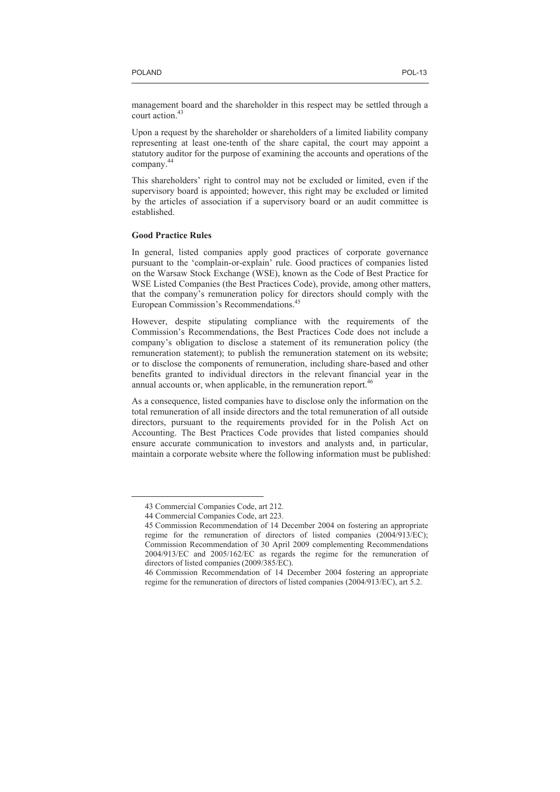management board and the shareholder in this respect may be settled through a court action.<sup>43</sup>

Upon a request by the shareholder or shareholders of a limited liability company representing at least one-tenth of the share capital, the court may appoint a statutory auditor for the purpose of examining the accounts and operations of the company.<sup>44</sup>

This shareholders' right to control may not be excluded or limited, even if the supervisory board is appointed; however, this right may be excluded or limited by the articles of association if a supervisory board or an audit committee is established.

# **Good Practice Rules**

In general, listed companies apply good practices of corporate governance pursuant to the 'complain-or-explain' rule. Good practices of companies listed on the Warsaw Stock Exchange (WSE), known as the Code of Best Practice for WSE Listed Companies (the Best Practices Code), provide, among other matters, that the company's remuneration policy for directors should comply with the European Commission's Recommendations.<sup>45</sup>

However, despite stipulating compliance with the requirements of the Commission's Recommendations, the Best Practices Code does not include a company's obligation to disclose a statement of its remuneration policy (the remuneration statement); to publish the remuneration statement on its website; or to disclose the components of remuneration, including share-based and other benefits granted to individual directors in the relevant financial year in the annual accounts or, when applicable, in the remuneration report.<sup>46</sup>

As a consequence, listed companies have to disclose only the information on the total remuneration of all inside directors and the total remuneration of all outside directors, pursuant to the requirements provided for in the Polish Act on Accounting. The Best Practices Code provides that listed companies should ensure accurate communication to investors and analysts and, in particular, maintain a corporate website where the following information must be published:

<sup>43</sup> Commercial Companies Code, art 212.

<sup>44</sup> Commercial Companies Code, art 223.

<sup>45</sup> Commission Recommendation of 14 December 2004 on fostering an appropriate regime for the remuneration of directors of listed companies (2004/913/EC); Commission Recommendation of 30 April 2009 complementing Recommendations 2004/913/EC and 2005/162/EC as regards the regime for the remuneration of directors of listed companies (2009/385/EC).

<sup>46</sup> Commission Recommendation of 14 December 2004 fostering an appropriate regime for the remuneration of directors of listed companies (2004/913/EC), art 5.2.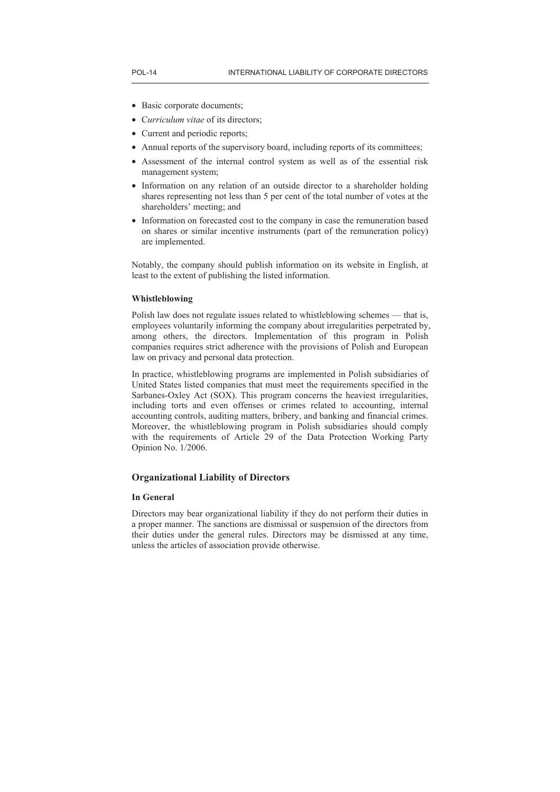- Basic corporate documents;
- C*urriculum vitae* of its directors;
- Current and periodic reports;
- Annual reports of the supervisory board, including reports of its committees;
- Assessment of the internal control system as well as of the essential risk management system;
- Information on any relation of an outside director to a shareholder holding shares representing not less than 5 per cent of the total number of votes at the shareholders' meeting; and
- Information on forecasted cost to the company in case the remuneration based on shares or similar incentive instruments (part of the remuneration policy) are implemented.

Notably, the company should publish information on its website in English, at least to the extent of publishing the listed information.

# **Whistleblowing**

Polish law does not regulate issues related to whistleblowing schemes — that is, employees voluntarily informing the company about irregularities perpetrated by, among others, the directors. Implementation of this program in Polish companies requires strict adherence with the provisions of Polish and European law on privacy and personal data protection.

In practice, whistleblowing programs are implemented in Polish subsidiaries of United States listed companies that must meet the requirements specified in the Sarbanes-Oxley Act (SOX). This program concerns the heaviest irregularities, including torts and even offenses or crimes related to accounting, internal accounting controls, auditing matters, bribery, and banking and financial crimes. Moreover, the whistleblowing program in Polish subsidiaries should comply with the requirements of Article 29 of the Data Protection Working Party Opinion No. 1/2006.

# **Organizational Liability of Directors**

# **In General**

Directors may bear organizational liability if they do not perform their duties in a proper manner. The sanctions are dismissal or suspension of the directors from their duties under the general rules. Directors may be dismissed at any time, unless the articles of association provide otherwise.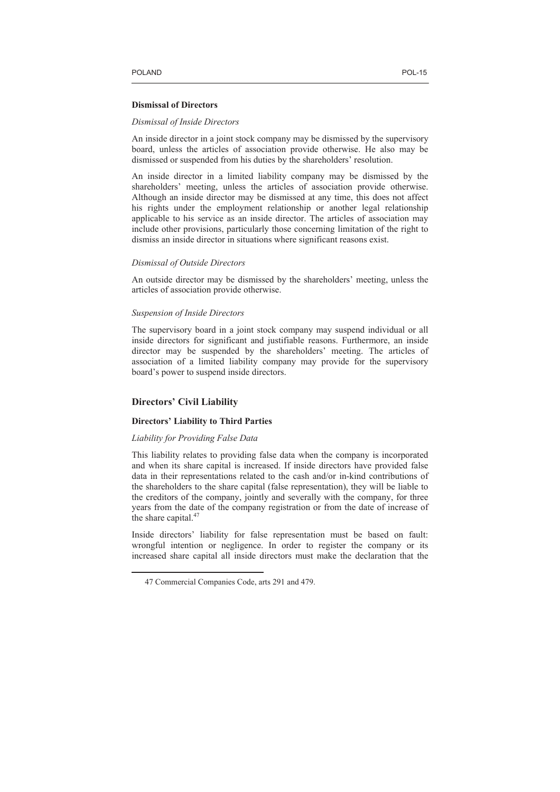#### **Dismissal of Directors**

#### *Dismissal of Inside Directors*

An inside director in a joint stock company may be dismissed by the supervisory board, unless the articles of association provide otherwise. He also may be dismissed or suspended from his duties by the shareholders' resolution.

An inside director in a limited liability company may be dismissed by the shareholders' meeting, unless the articles of association provide otherwise. Although an inside director may be dismissed at any time, this does not affect his rights under the employment relationship or another legal relationship applicable to his service as an inside director. The articles of association may include other provisions, particularly those concerning limitation of the right to dismiss an inside director in situations where significant reasons exist.

## *Dismissal of Outside Directors*

An outside director may be dismissed by the shareholders' meeting, unless the articles of association provide otherwise.

# *Suspension of Inside Directors*

The supervisory board in a joint stock company may suspend individual or all inside directors for significant and justifiable reasons. Furthermore, an inside director may be suspended by the shareholders' meeting. The articles of association of a limited liability company may provide for the supervisory board's power to suspend inside directors.

# **Directors' Civil Liability**

 $\overline{a}$ 

#### **Directors' Liability to Third Parties**

# *Liability for Providing False Data*

This liability relates to providing false data when the company is incorporated and when its share capital is increased. If inside directors have provided false data in their representations related to the cash and/or in-kind contributions of the shareholders to the share capital (false representation), they will be liable to the creditors of the company, jointly and severally with the company, for three years from the date of the company registration or from the date of increase of the share capital. $47$ 

Inside directors' liability for false representation must be based on fault: wrongful intention or negligence. In order to register the company or its increased share capital all inside directors must make the declaration that the

<sup>47</sup> Commercial Companies Code, arts 291 and 479.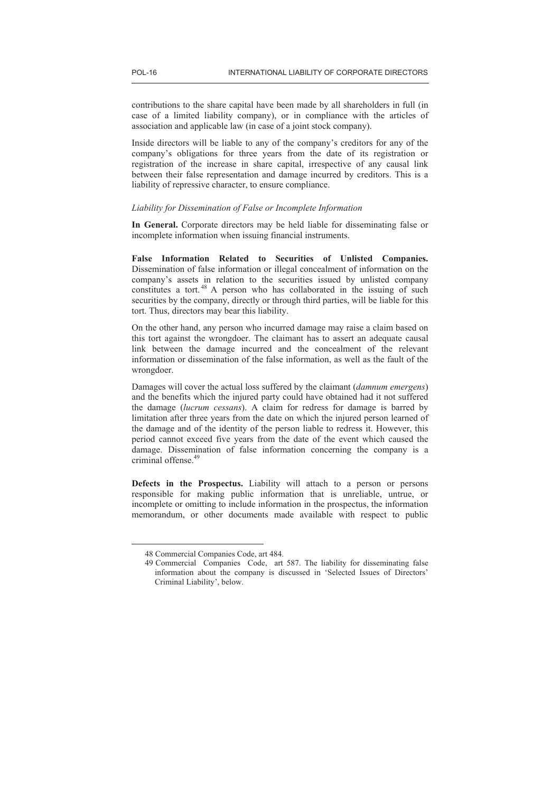contributions to the share capital have been made by all shareholders in full (in case of a limited liability company), or in compliance with the articles of association and applicable law (in case of a joint stock company).

Inside directors will be liable to any of the company's creditors for any of the company's obligations for three years from the date of its registration or registration of the increase in share capital, irrespective of any causal link between their false representation and damage incurred by creditors. This is a liability of repressive character, to ensure compliance.

#### *Liability for Dissemination of False or Incomplete Information*

**In General.** Corporate directors may be held liable for disseminating false or incomplete information when issuing financial instruments.

**False Information Related to Securities of Unlisted Companies.** Dissemination of false information or illegal concealment of information on the company's assets in relation to the securities issued by unlisted company company constitutes a tort.<sup>48</sup> A person who has collaborated in the issuing of such securities by the company, directly or through third parties, will be liable for this tort. Thus, directors may bear this liability.

On the other hand, any person who incurred damage may raise a claim based on this tort against the wrongdoer. The claimant has to assert an adequate causal link between the damage incurred and the concealment of the relevant information or dissemination of the false information, as well as the fault of the wrongdoer.

Damages will cover the actual loss suffered by the claimant (*damnum emergens*) and the benefits which the injured party could have obtained had it not suffered the damage (*lucrum cessans*). A claim for redress for damage is barred by limitation after three years from the date on which the injured person learned of the damage and of the identity of the person liable to redress it. However, this period cannot exceed five years from the date of the event which caused the damage. Dissemination of false information concerning the company is a criminal offense.<sup>49</sup>

**Defects in the Prospectus.** Liability will attach to a person or persons responsible for making public information that is unreliable, untrue, or incomplete or omitting to include information in the prospectus, the information memorandum, or other documents made available with respect to public

<sup>48</sup> Commercial Companies Code, art 484.

<sup>49</sup> Commercial Companies Code, art 587. The liability for disseminating false information about the company is discussed in 'Selected Issues of Directors' Criminal Liability', below.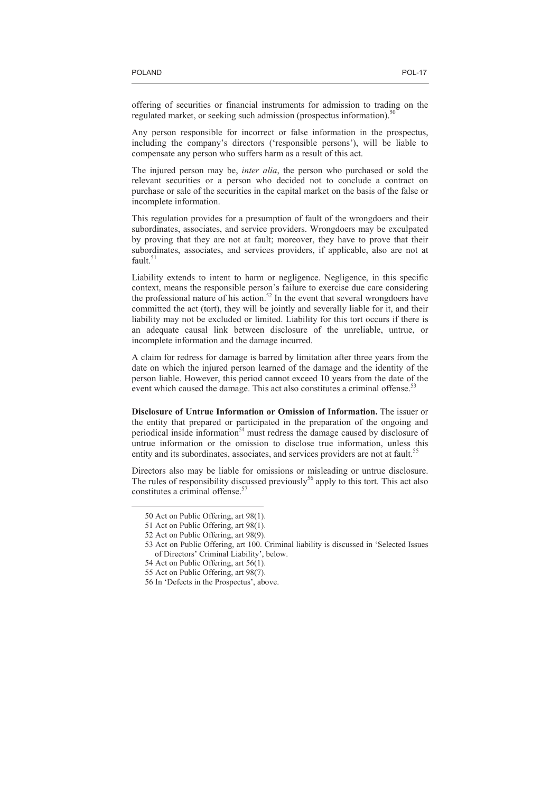offering of securities or financial instruments for admission to trading on the regulated market, or seeking such admission (prospectus information).<sup>5</sup>

Any person responsible for incorrect or false information in the prospectus, including the company's directors ('responsible persons'), will be liable to compensate any person who suffers harm as a result of this act.

The injured person may be, *inter alia*, the person who purchased or sold the relevant securities or a person who decided not to conclude a contract on purchase or sale of the securities in the capital market on the basis of the false or incomplete information.

This regulation provides for a presumption of fault of the wrongdoers and their subordinates, associates, and service providers. Wrongdoers may be exculpated by proving that they are not at fault; moreover, they have to prove that their subordinates, associates, and services providers, if applicable, also are not at fault.<sup>51</sup>

Liability extends to intent to harm or negligence. Negligence, in this specific context, means the responsible person's failure to exercise due care considering the professional nature of his action.<sup>52</sup> In the event that several wrongdoers have committed the act (tort), they will be jointly and severally liable for it, and their liability may not be excluded or limited. Liability for this tort occurs if there is an adequate causal link between disclosure of the unreliable, untrue, or incomplete information and the damage incurred.

A claim for redress for damage is barred by limitation after three years from the date on which the injured person learned of the damage and the identity of the person liable. However, this period cannot exceed 10 years from the date of the event which caused the damage. This act also constitutes a criminal offense.<sup>53</sup>

**Disclosure of Untrue Information or Omission of Information.** The issuer or the entity that prepared or participated in the preparation of the ongoing and periodical inside information<sup>54</sup> must redress the damage caused by disclosure of untrue information or the omission to disclose true information, unless this entity and its subordinates, associates, and services providers are not at fault.<sup>55</sup>

Directors also may be liable for omissions or misleading or untrue disclosure. The rules of responsibility discussed previously<sup>56</sup> apply to this tort. This act also constitutes a criminal offense.<sup>5</sup>

<sup>50</sup> Act on Public Offering, art 98(1).

<sup>51</sup> Act on Public Offering, art 98(1).

<sup>52</sup> Act on Public Offering, art 98(9).

<sup>53</sup> Act on Public Offering, art 100. Criminal liability is discussed in 'Selected Issues of Directors' Criminal Liability', below.

<sup>54</sup> Act on Public Offering, art 56(1).

<sup>55</sup> Act on Public Offering, art 98(7).

<sup>56</sup> In 'Defects in the Prospectus', above.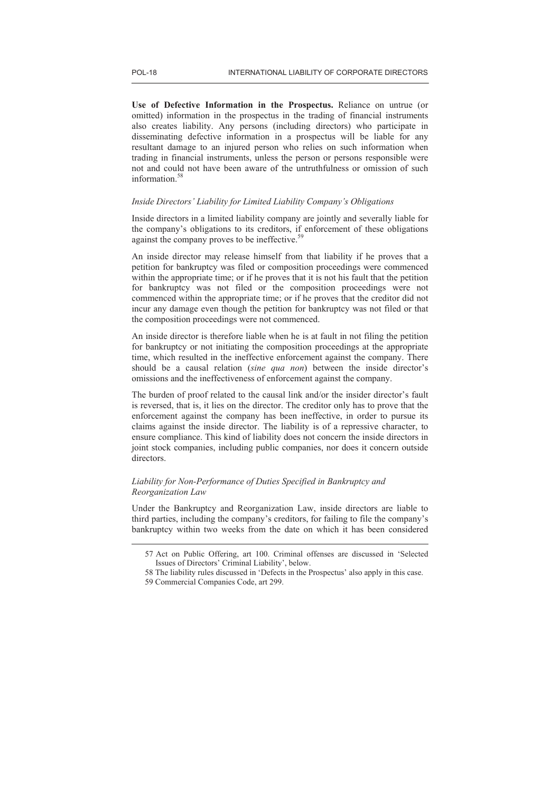**Use of Defective Information in the Prospectus.** Reliance on untrue (or omitted) information in the prospectus in the trading of financial instruments also creates liability. Any persons (including directors) who participate in disseminating defective information in a prospectus will be liable for any resultant damage to an injured person who relies on such information when trading in financial instruments, unless the person or persons responsible were not and could not have been aware of the untruthfulness or omission of such information.<sup>58</sup>

# *Inside Directors' Liability for Limited Liability Company's Obligations*

Inside directors in a limited liability company are jointly and severally liable for the company's obligations to its creditors, if enforcement of these obligations against the company proves to be ineffective.<sup>59</sup>

An inside director may release himself from that liability if he proves that a petition for bankruptcy was filed or composition proceedings were commenced within the appropriate time; or if he proves that it is not his fault that the petition for bankruptcy was not filed or the composition proceedings were not commenced within the appropriate time; or if he proves that the creditor did not incur any damage even though the petition for bankruptcy was not filed or that the composition proceedings were not commenced.

An inside director is therefore liable when he is at fault in not filing the petition for bankruptcy or not initiating the composition proceedings at the appropriate time, which resulted in the ineffective enforcement against the company. There should be a causal relation (*sine qua non*) between the inside director's omissions and the ineffectiveness of enforcement against the company.

The burden of proof related to the causal link and/or the insider director's fault is reversed, that is, it lies on the director. The creditor only has to prove that the enforcement against the company has been ineffective, in order to pursue its claims against the inside director. The liability is of a repressive character, to ensure compliance. This kind of liability does not concern the inside directors in joint stock companies, including public companies, nor does it concern outside directors.

# *Liability for Non-Performance of Duties Specified in Bankruptcy and Reorganization Law*

Under the Bankruptcy and Reorganization Law, inside directors are liable to third parties, including the company's creditors, for failing to file the company's bankruptcy within two weeks from the date on which it has been considered

<sup>57</sup> Act on Public Offering, art 100. Criminal offenses are discussed in 'Selected Issues of Directors' Criminal Liability', below.

<sup>58</sup> The liability rules discussed in 'Defects in the Prospectus' also apply in this case.

<sup>59</sup> Commercial Companies Code, art 299.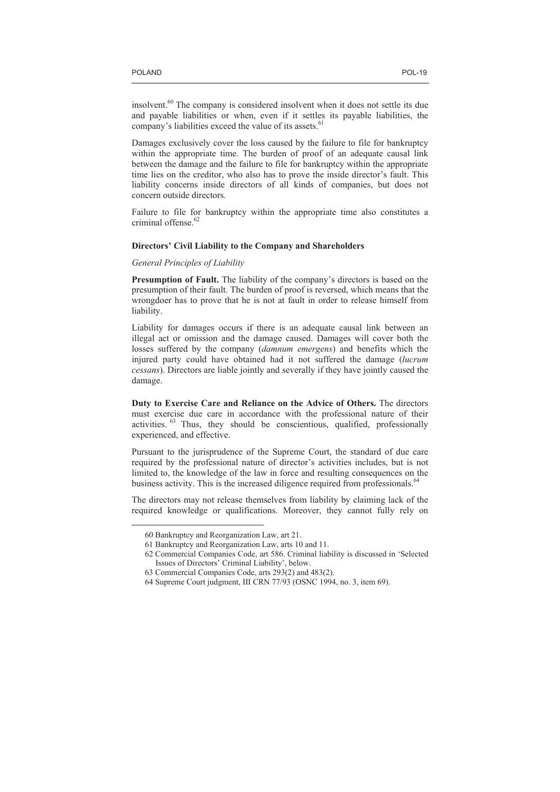insolvent.<sup>60</sup> The company is considered insolvent when it does not settle its due and payable liabilities or when, even if it settles its payable liabilities, the company's liabilities exceed the value of its assets.<sup>61</sup>

Damages exclusively cover the loss caused by the failure to file for bankruptcy within the appropriate time. The burden of proof of an adequate causal link between the damage and the failure to file for bankruptcy within the appropriate time lies on the creditor, who also has to prove the inside director's fault. This liability concerns inside directors of all kinds of companies, but does not concern outside directors.

Failure to file for bankruptcy within the appropriate time also constitutes a criminal offense.<sup>62</sup>

## **Directors' Civil Liability to the Company and Shareholders**

*General Principles of Liability* 

**Presumption of Fault.** The liability of the company's directors is based on the presumption of their fault. The burden of proof is reversed, which means that the wrongdoer has to prove that he is not at fault in order to release himself from liability.

Liability for damages occurs if there is an adequate causal link between an illegal act or omission and the damage caused. Damages will cover both the losses suffered by the company (*damnum emergens*) and benefits which the injured party could have obtained had it not suffered the damage (*lucrum cessans*). Directors are liable jointly and severally if they have jointly caused the damage.

**Duty to Exercise Care and Reliance on the Advice of Others.** The directors must exercise due care in accordance with the professional nature of their activities. <sup>63</sup> Thus, they should be conscientious, qualified, professionally experienced, and effective.

Pursuant to the jurisprudence of the Supreme Court, the standard of due care required by the professional nature of director's activities includes, but is not limited to, the knowledge of the law in force and resulting consequences on the business activity. This is the increased diligence required from professionals.<sup>64</sup>

The directors may not release themselves from liability by claiming lack of the required knowledge or qualifications. Moreover, they cannot fully rely on

<sup>60</sup> Bankruptcy and Reorganization Law, art 21.

<sup>61</sup> Bankruptcy and Reorganization Law, arts 10 and 11.

<sup>62</sup> Commercial Companies Code, art 586. Criminal liability is discussed in 'Selected Issues of Directors' Criminal Liability', below.

<sup>63</sup> Commercial Companies Code, arts 293(2) and 483(2).

<sup>64</sup> Supreme Court judgment, III CRN 77/93 (OSNC 1994, no. 3, item 69).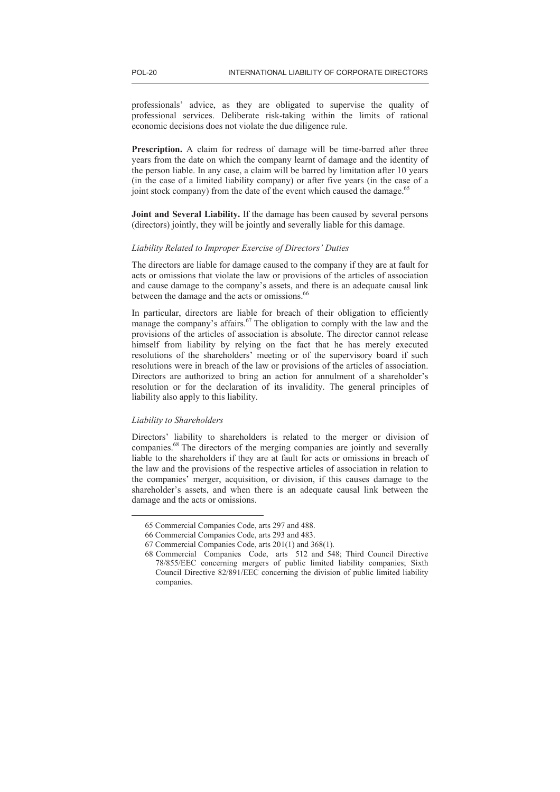professionals' advice, as they are obligated to supervise the quality of professional services. Deliberate risk-taking within the limits of rational economic decisions does not violate the due diligence rule.

**Prescription.** A claim for redress of damage will be time-barred after three years from the date on which the company learnt of damage and the identity of the person liable. In any case, a claim will be barred by limitation after 10 years (in the case of a limited liability company) or after five years (in the case of a joint stock company) from the date of the event which caused the damage.<sup>65</sup>

**Joint and Several Liability.** If the damage has been caused by several persons (directors) jointly, they will be jointly and severally liable for this damage.

## *Liability Related to Improper Exercise of Directors' Duties*

The directors are liable for damage caused to the company if they are at fault for acts or omissions that violate the law or provisions of the articles of association and cause damage to the company's assets, and there is an adequate causal link between the damage and the acts or omissions.<sup>66</sup>

In particular, directors are liable for breach of their obligation to efficiently manage the company's affairs.<sup>67</sup> The obligation to comply with the law and the provisions of the articles of association is absolute. The director cannot release himself from liability by relying on the fact that he has merely executed resolutions of the shareholders' meeting or of the supervisory board if such resolutions were in breach of the law or provisions of the articles of association. Directors are authorized to bring an action for annulment of a shareholder's resolution or for the declaration of its invalidity. The general principles of liability also apply to this liability.

# *Liability to Shareholders*

 $\overline{a}$ 

Directors' liability to shareholders is related to the merger or division of companies.<sup>68</sup> The directors of the merging companies are jointly and severally liable to the shareholders if they are at fault for acts or omissions in breach of the law and the provisions of the respective articles of association in relation to the companies' merger, acquisition, or division, if this causes damage to the shareholder's assets, and when there is an adequate causal link between the damage and the acts or omissions.

<sup>65</sup> Commercial Companies Code, arts 297 and 488.

<sup>66</sup> Commercial Companies Code, arts 293 and 483.

<sup>67</sup> Commercial Companies Code, arts 201(1) and 368(1).

<sup>68</sup> Commercial Companies Code, arts 512 and 548; Third Council Directive 78/855/EEC concerning mergers of public limited liability companies; Sixth Council Directive 82/891/EEC concerning the division of public limited liability companies.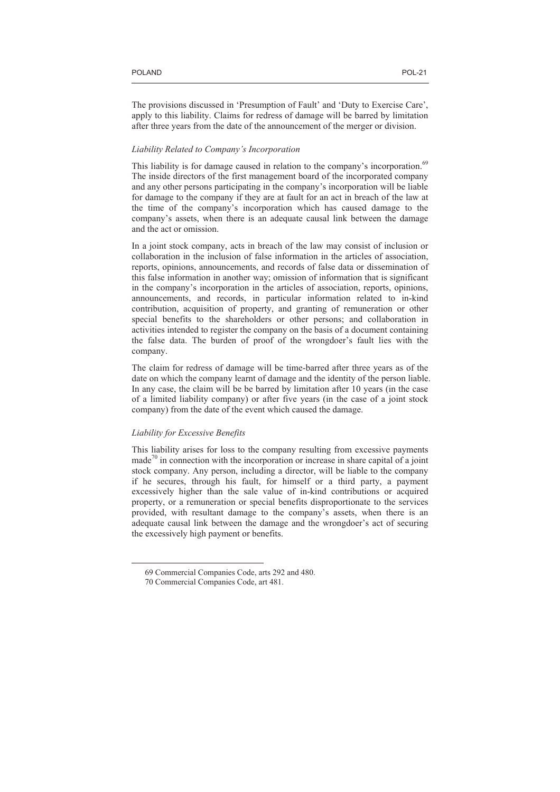The provisions discussed in 'Presumption of Fault' and 'Duty to Exercise Care', apply to this liability. Claims for redress of damage will be barred by limitation after three years from the date of the announcement of the merger or division.

# *Liability Related to Company's Incorporation*

This liability is for damage caused in relation to the company's incorporation.<sup>69</sup> The inside directors of the first management board of the incorporated company and any other persons participating in the company's incorporation will be liable for damage to the company if they are at fault for an act in breach of the law at the time of the company's incorporation which has caused damage to the company's assets, when there is an adequate causal link between the damage and the act or omission.

In a joint stock company, acts in breach of the law may consist of inclusion or collaboration in the inclusion of false information in the articles of association, reports, opinions, announcements, and records of false data or dissemination of this false information in another way; omission of information that is significant in the company's incorporation in the articles of association, reports, opinions, announcements, and records, in particular information related to in-kind contribution, acquisition of property, and granting of remuneration or other special benefits to the shareholders or other persons; and collaboration in activities intended to register the company on the basis of a document containing the false data. The burden of proof of the wrongdoer's fault lies with the company.

The claim for redress of damage will be time-barred after three years as of the date on which the company learnt of damage and the identity of the person liable. In any case, the claim will be be barred by limitation after 10 years (in the case of a limited liability company) or after five years (in the case of a joint stock company) from the date of the event which caused the damage.

# *Liability for Excessive Benefits*

 $\overline{a}$ 

This liability arises for loss to the company resulting from excessive payments  $made^{70}$  in connection with the incorporation or increase in share capital of a joint stock company. Any person, including a director, will be liable to the company if he secures, through his fault, for himself or a third party, a payment excessively higher than the sale value of in-kind contributions or acquired property, or a remuneration or special benefits disproportionate to the services provided, with resultant damage to the company's assets, when there is an adequate causal link between the damage and the wrongdoer's act of securing the excessively high payment or benefits.

<sup>69</sup> Commercial Companies Code, arts 292 and 480.

<sup>70</sup> Commercial Companies Code, art 481.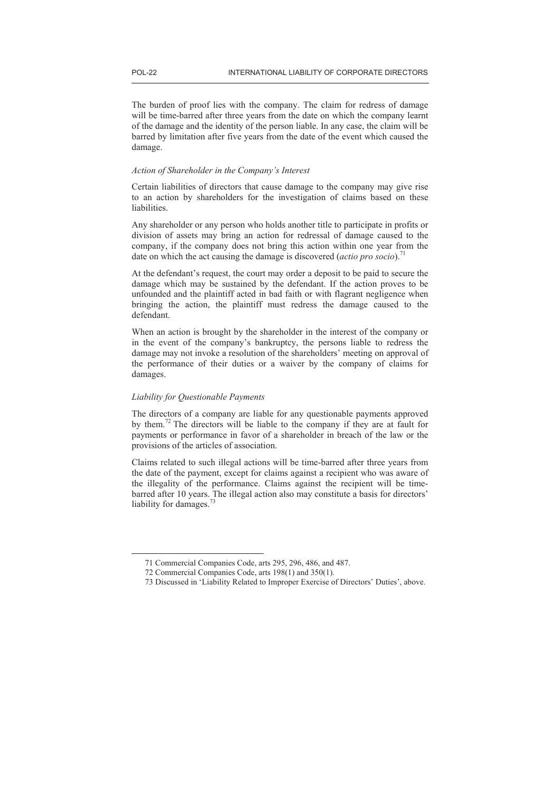The burden of proof lies with the company. The claim for redress of damage will be time-barred after three years from the date on which the company learnt of the damage and the identity of the person liable. In any case, the claim will be barred by limitation after five years from the date of the event which caused the damage.

## *Action of Shareholder in the Company's Interest*

Certain liabilities of directors that cause damage to the company may give rise to an action by shareholders for the investigation of claims based on these liabilities.

Any shareholder or any person who holds another title to participate in profits or division of assets may bring an action for redressal of damage caused to the company, if the company does not bring this action within one year from the date on which the act causing the damage is discovered (*actio pro socio*).<sup>71</sup>

At the defendant's request, the court may order a deposit to be paid to secure the damage which may be sustained by the defendant. If the action proves to be unfounded and the plaintiff acted in bad faith or with flagrant negligence when bringing the action, the plaintiff must redress the damage caused to the defendant.

When an action is brought by the shareholder in the interest of the company or in the event of the company's bankruptcy, the persons liable to redress the damage may not invoke a resolution of the shareholders' meeting on approval of the performance of their duties or a waiver by the company of claims for damages.

# *Liability for Questionable Payments*

 $\overline{a}$ 

The directors of a company are liable for any questionable payments approved by them.<sup>72</sup> The directors will be liable to the company if they are at fault for payments or performance in favor of a shareholder in breach of the law or the provisions of the articles of association.

Claims related to such illegal actions will be time-barred after three years from the date of the payment, except for claims against a recipient who was aware of the illegality of the performance. Claims against the recipient will be timebarred after 10 years. The illegal action also may constitute a basis for directors' liability for damages.<sup>73</sup>

<sup>71</sup> Commercial Companies Code, arts 295, 296, 486, and 487.

<sup>72</sup> Commercial Companies Code, arts 198(1) and 350(1).

<sup>73</sup> Discussed in 'Liability Related to Improper Exercise of Directors' Duties', above.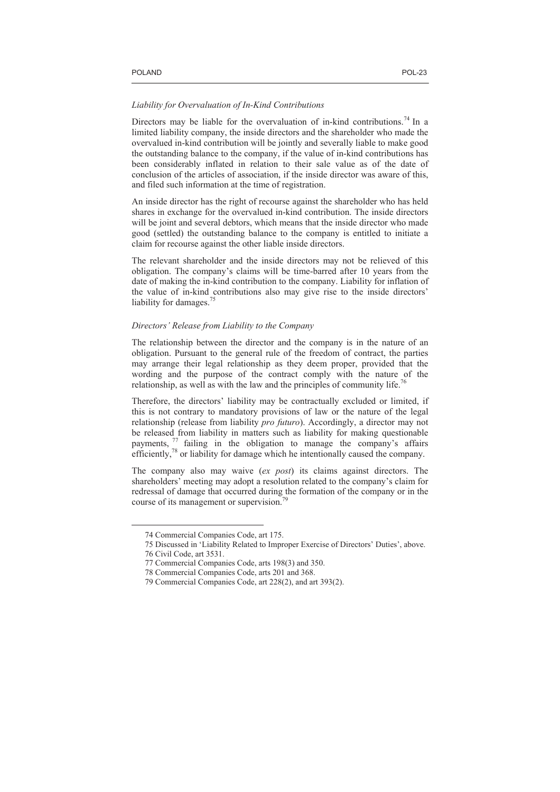#### *Liability for Overvaluation of In-Kind Contributions*

Directors may be liable for the overvaluation of in-kind contributions.<sup>74</sup> In a limited liability company, the inside directors and the shareholder who made the overvalued in-kind contribution will be jointly and severally liable to make good the outstanding balance to the company, if the value of in-kind contributions has been considerably inflated in relation to their sale value as of the date of conclusion of the articles of association, if the inside director was aware of this, and filed such information at the time of registration.

An inside director has the right of recourse against the shareholder who has held shares in exchange for the overvalued in-kind contribution. The inside directors will be joint and several debtors, which means that the inside director who made good (settled) the outstanding balance to the company is entitled to initiate a claim for recourse against the other liable inside directors.

The relevant shareholder and the inside directors may not be relieved of this obligation. The company's claims will be time-barred after 10 years from the date of making the in-kind contribution to the company. Liability for inflation of the value of in-kind contributions also may give rise to the inside directors' liability for damages.<sup>75</sup>

## *Directors' Release from Liability to the Company*

The relationship between the director and the company is in the nature of an obligation. Pursuant to the general rule of the freedom of contract, the parties may arrange their legal relationship as they deem proper, provided that the wording and the purpose of the contract comply with the nature of the relationship, as well as with the law and the principles of community life.<sup>76</sup>

Therefore, the directors' liability may be contractually excluded or limited, if this is not contrary to mandatory provisions of law or the nature of the legal relationship (release from liability *pro futuro*). Accordingly, a director may not be released from liability in matters such as liability for making questionable payments,  $\frac{7}{7}$  failing in the obligation to manage the company's affairs payments,  $\frac{77}{1}$  failing in the obligation to manage the company's affairs efficiently, $78$  or liability for damage which he intentionally caused the company.

The company also may waive (*ex post*) its claims against directors. The shareholders' meeting may adopt a resolution related to the company's claim for redressal of damage that occurred during the formation of the company or in the course of its management or supervision.<sup>79</sup>

<sup>74</sup> Commercial Companies Code, art 175.

<sup>75</sup> Discussed in 'Liability Related to Improper Exercise of Directors' Duties', above.

<sup>76</sup> Civil Code, art 3531.

<sup>77</sup> Commercial Companies Code, arts 198(3) and 350.

<sup>78</sup> Commercial Companies Code, arts 201 and 368.

<sup>79</sup> Commercial Companies Code, art 228(2), and art 393(2).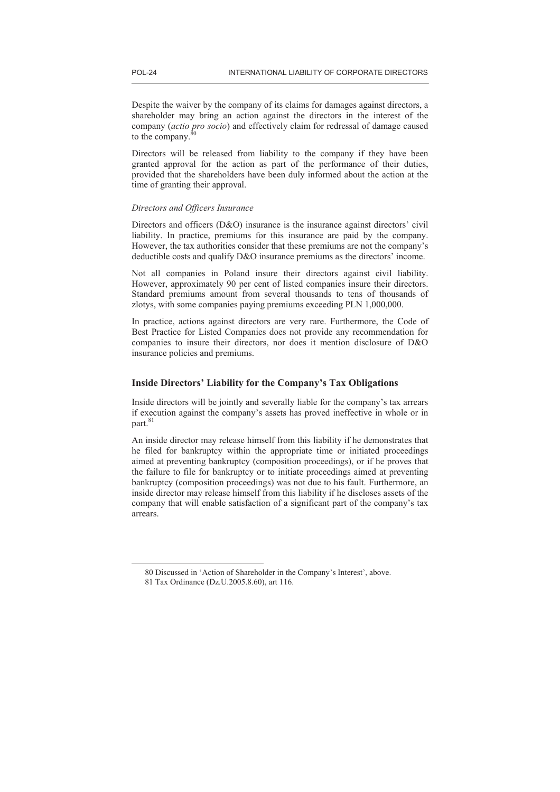Despite the waiver by the company of its claims for damages against directors, a shareholder may bring an action against the directors in the interest of the company (*actio pro socio*) and effectively claim for redressal of damage caused to the company. $80$ 

Directors will be released from liability to the company if they have been granted approval for the action as part of the performance of their duties, provided that the shareholders have been duly informed about the action at the time of granting their approval.

# *Directors and Officers Insurance*

Directors and officers (D&O) insurance is the insurance against directors' civil liability. In practice, premiums for this insurance are paid by the company. However, the tax authorities consider that these premiums are not the company's deductible costs and qualify D&O insurance premiums as the directors' income.

Not all companies in Poland insure their directors against civil liability. However, approximately 90 per cent of listed companies insure their directors. Standard premiums amount from several thousands to tens of thousands of zlotys, with some companies paying premiums exceeding PLN 1,000,000.

In practice, actions against directors are very rare. Furthermore, the Code of Best Practice for Listed Companies does not provide any recommendation for companies to insure their directors, nor does it mention disclosure of D&O insurance policies and premiums.

# **Inside Directors' Liability for the Company's Tax Obligations**

Inside directors will be jointly and severally liable for the company's tax arrears if execution against the company's assets has proved ineffective in whole or in part.<sup>81</sup>

An inside director may release himself from this liability if he demonstrates that he filed for bankruptcy within the appropriate time or initiated proceedings aimed at preventing bankruptcy (composition proceedings), or if he proves that the failure to file for bankruptcy or to initiate proceedings aimed at preventing bankruptcy (composition proceedings) was not due to his fault. Furthermore, an inside director may release himself from this liability if he discloses assets of the company that will enable satisfaction of a significant part of the company's tax arrears.

<sup>80</sup> Discussed in 'Action of Shareholder in the Company's Interest', above.

<sup>81</sup> Tax Ordinance (Dz.U.2005.8.60), art 116.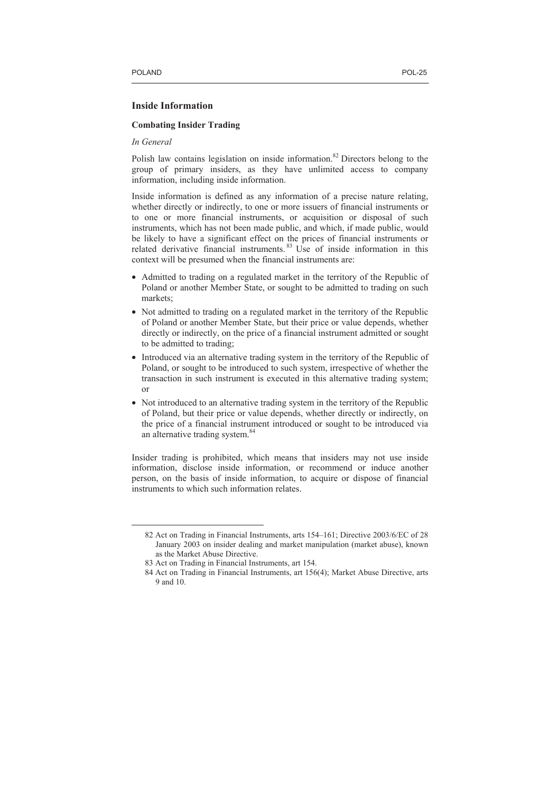# **Inside Information**

# **Combating Insider Trading**

*In General* 

 $\overline{a}$ 

Polish law contains legislation on inside information.<sup>82</sup> Directors belong to the group of primary insiders, as they have unlimited access to company information, including inside information.

Inside information is defined as any information of a precise nature relating, whether directly or indirectly, to one or more issuers of financial instruments or to one or more financial instruments, or acquisition or disposal of such instruments, which has not been made public, and which, if made public, would be likely to have a significant effect on the prices of financial instruments or related derivative financial instruments.<sup>83</sup> Use of inside information in this context will be presumed when the financial instruments are:

- Admitted to trading on a regulated market in the territory of the Republic of Poland or another Member State, or sought to be admitted to trading on such markets;
- Not admitted to trading on a regulated market in the territory of the Republic of Poland or another Member State, but their price or value depends, whether directly or indirectly, on the price of a financial instrument admitted or sought to be admitted to trading;
- Introduced via an alternative trading system in the territory of the Republic of Poland, or sought to be introduced to such system, irrespective of whether the transaction in such instrument is executed in this alternative trading system; or
- Not introduced to an alternative trading system in the territory of the Republic of Poland, but their price or value depends, whether directly or indirectly, on the price of a financial instrument introduced or sought to be introduced via an alternative trading system.<sup>84</sup>

Insider trading is prohibited, which means that insiders may not use inside information, disclose inside information, or recommend or induce another person, on the basis of inside information, to acquire or dispose of financial instruments to which such information relates.

<sup>82</sup> Act on Trading in Financial Instruments, arts 154–161; Directive 2003/6/EC of 28 January 2003 on insider dealing and market manipulation (market abuse), known as the Market Abuse Directive.

<sup>83</sup> Act on Trading in Financial Instruments, art 154.

<sup>84</sup> Act on Trading in Financial Instruments, art 156(4); Market Abuse Directive, arts 9 and 10.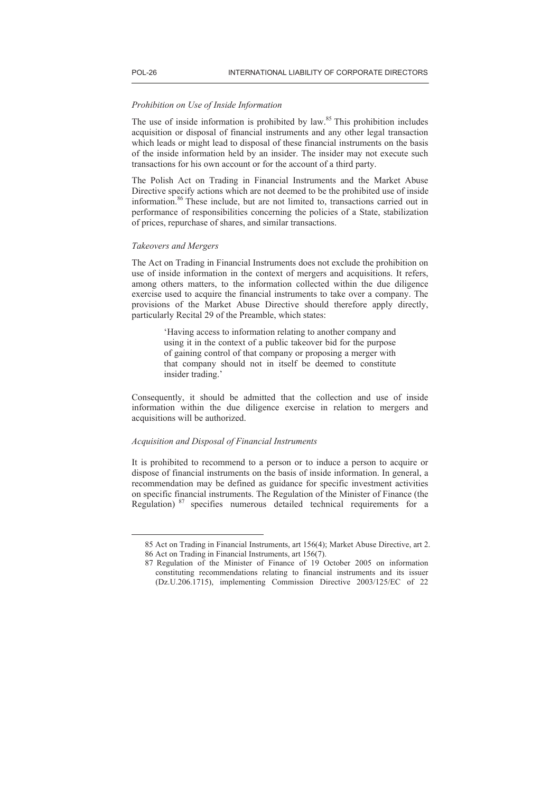## *Prohibition on Use of Inside Information*

The use of inside information is prohibited by law.<sup>85</sup> This prohibition includes acquisition or disposal of financial instruments and any other legal transaction which leads or might lead to disposal of these financial instruments on the basis of the inside information held by an insider. The insider may not execute such transactions for his own account or for the account of a third party.

The Polish Act on Trading in Financial Instruments and the Market Abuse Directive specify actions which are not deemed to be the prohibited use of inside information.<sup>86</sup> These include, but are not limited to, transactions carried out in performance of responsibilities concerning the policies of a State, stabilization of prices, repurchase of shares, and similar transactions.

## *Takeovers and Mergers*

 $\overline{a}$ 

The Act on Trading in Financial Instruments does not exclude the prohibition on use of inside information in the context of mergers and acquisitions. It refers, among others matters, to the information collected within the due diligence exercise used to acquire the financial instruments to take over a company. The provisions of the Market Abuse Directive should therefore apply directly, particularly Recital 29 of the Preamble, which states:

> 'Having access to information relating to another company and using it in the context of a public takeover bid for the purpose of gaining control of that company or proposing a merger with that company should not in itself be deemed to constitute insider trading.'

Consequently, it should be admitted that the collection and use of inside information within the due diligence exercise in relation to mergers and acquisitions will be authorized.

# *Acquisition and Disposal of Financial Instruments*

It is prohibited to recommend to a person or to induce a person to acquire or dispose of financial instruments on the basis of inside information. In general, a recommendation may be defined as guidance for specific investment activities on specific financial instruments. The Regulation of the Minister of Finance (the Regulation) <sup>87</sup> specifies numerous detailed technical requirements for a

<sup>85</sup> Act on Trading in Financial Instruments, art 156(4); Market Abuse Directive, art 2. 86 Act on Trading in Financial Instruments, art 156(7).

<sup>87</sup> Regulation of the Minister of Finance of 19 October 2005 on information constituting recommendations relating to financial instruments and its issuer (Dz.U.206.1715), implementing Commission Directive 2003/125/EC of 22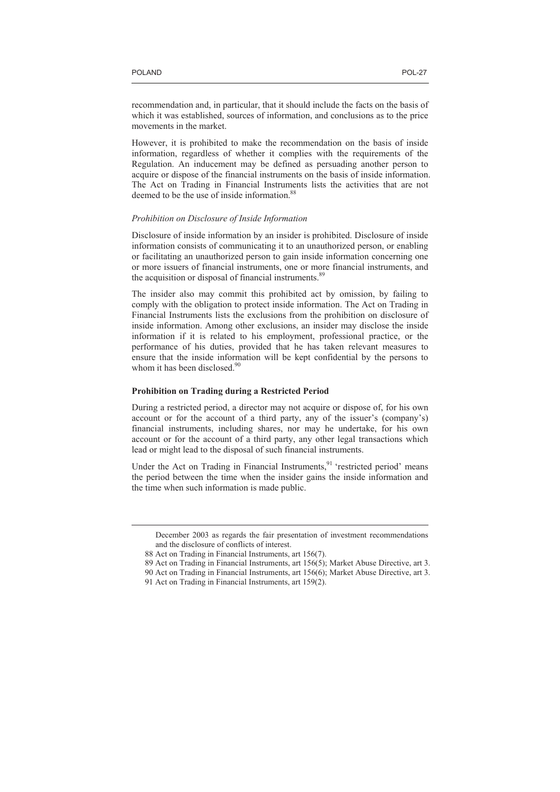$\overline{a}$ 

recommendation and, in particular, that it should include the facts on the basis of which it was established, sources of information, and conclusions as to the price movements in the market.

However, it is prohibited to make the recommendation on the basis of inside information, regardless of whether it complies with the requirements of the Regulation. An inducement may be defined as persuading another person to acquire or dispose of the financial instruments on the basis of inside information. The Act on Trading in Financial Instruments lists the activities that are not deemed to be the use of inside information.<sup>88</sup>

#### *Prohibition on Disclosure of Inside Information*

Disclosure of inside information by an insider is prohibited. Disclosure of inside information consists of communicating it to an unauthorized person, or enabling or facilitating an unauthorized person to gain inside information concerning one or more issuers of financial instruments, one or more financial instruments, and the acquisition or disposal of financial instruments.<sup>89</sup>

The insider also may commit this prohibited act by omission, by failing to comply with the obligation to protect inside information. The Act on Trading in Financial Instruments lists the exclusions from the prohibition on disclosure of inside information. Among other exclusions, an insider may disclose the inside information if it is related to his employment, professional practice, or the performance of his duties, provided that he has taken relevant measures to ensure that the inside information will be kept confidential by the persons to whom it has been disclosed.<sup>90</sup>

## **Prohibition on Trading during a Restricted Period**

During a restricted period, a director may not acquire or dispose of, for his own account or for the account of a third party, any of the issuer's (company's) financial instruments, including shares, nor may he undertake, for his own account or for the account of a third party, any other legal transactions which lead or might lead to the disposal of such financial instruments.

Under the Act on Trading in Financial Instruments,<sup>91</sup> 'restricted period' means the period between the time when the insider gains the inside information and the time when such information is made public.

December 2003 as regards the fair presentation of investment recommendations and the disclosure of conflicts of interest.

<sup>88</sup> Act on Trading in Financial Instruments, art 156(7).

<sup>89</sup> Act on Trading in Financial Instruments, art 156(5); Market Abuse Directive, art 3.

<sup>90</sup> Act on Trading in Financial Instruments, art 156(6); Market Abuse Directive, art 3.

<sup>91</sup> Act on Trading in Financial Instruments, art 159(2).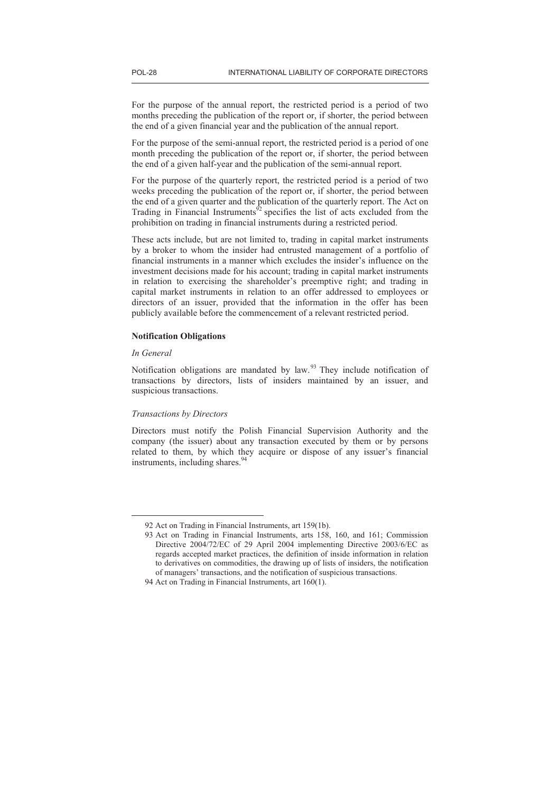For the purpose of the annual report, the restricted period is a period of two months preceding the publication of the report or, if shorter, the period between the end of a given financial year and the publication of the annual report.

For the purpose of the semi-annual report, the restricted period is a period of one month preceding the publication of the report or, if shorter, the period between the end of a given half-year and the publication of the semi-annual report.

For the purpose of the quarterly report, the restricted period is a period of two weeks preceding the publication of the report or, if shorter, the period between the end of a given quarter and the publication of the quarterly report. The Act on Trading in Financial Instruments<sup>92</sup> specifies the list of acts excluded from the prohibition on trading in financial instruments during a restricted period.

These acts include, but are not limited to, trading in capital market instruments by a broker to whom the insider had entrusted management of a portfolio of financial instruments in a manner which excludes the insider's influence on the investment decisions made for his account; trading in capital market instruments in relation to exercising the shareholder's preemptive right; and trading in capital market instruments in relation to an offer addressed to employees or directors of an issuer, provided that the information in the offer has been publicly available before the commencement of a relevant restricted period.

# **Notification Obligations**

## *In General*

 $\overline{a}$ 

Notification obligations are mandated by law.<sup>93</sup> They include notification of transactions by directors, lists of insiders maintained by an issuer, and suspicious transactions.

#### *Transactions by Directors*

Directors must notify the Polish Financial Supervision Authority and the company (the issuer) about any transaction executed by them or by persons related to them, by which they acquire or dispose of any issuer's financial instruments, including shares.<sup>94</sup>

<sup>92</sup> Act on Trading in Financial Instruments, art 159(1b).

<sup>93</sup> Act on Trading in Financial Instruments, arts 158, 160, and 161; Commission Directive 2004/72/EC of 29 April 2004 implementing Directive 2003/6/EC as regards accepted market practices, the definition of inside information in relation to derivatives on commodities, the drawing up of lists of insiders, the notification of managers' transactions, and the notification of suspicious transactions.

<sup>94</sup> Act on Trading in Financial Instruments, art 160(1).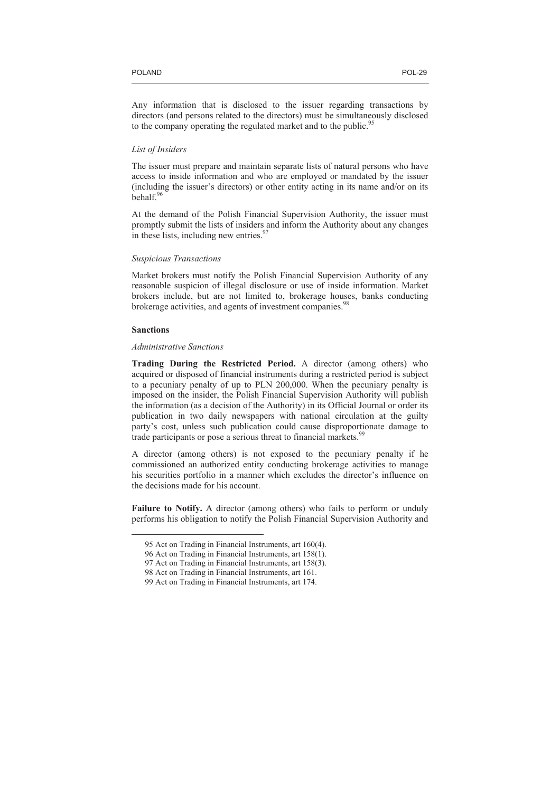Any information that is disclosed to the issuer regarding transactions by directors (and persons related to the directors) must be simultaneously disclosed to the company operating the regulated market and to the public.<sup>95</sup>

# *List of Insiders*

The issuer must prepare and maintain separate lists of natural persons who have access to inside information and who are employed or mandated by the issuer (including the issuer's directors) or other entity acting in its name and/or on its behalf.<sup>96</sup>

At the demand of the Polish Financial Supervision Authority, the issuer must promptly submit the lists of insiders and inform the Authority about any changes in these lists, including new entries. $\frac{97}{2}$ 

# *Suspicious Transactions*

Market brokers must notify the Polish Financial Supervision Authority of any reasonable suspicion of illegal disclosure or use of inside information. Market brokers include, but are not limited to, brokerage houses, banks conducting brokerage activities, and agents of investment companies.<sup>98</sup>

#### **Sanctions**

 $\overline{a}$ 

# *Administrative Sanctions*

**Trading During the Restricted Period.** A director (among others) who acquired or disposed of financial instruments during a restricted period is subject to a pecuniary penalty of up to PLN 200,000. When the pecuniary penalty is imposed on the insider, the Polish Financial Supervision Authority will publish the information (as a decision of the Authority) in its Official Journal or order its publication in two daily newspapers with national circulation at the guilty party's cost, unless such publication could cause disproportionate damage to trade participants or pose a serious threat to financial markets.<sup>99</sup>

A director (among others) is not exposed to the pecuniary penalty if he commissioned an authorized entity conducting brokerage activities to manage his securities portfolio in a manner which excludes the director's influence on the decisions made for his account.

**Failure to Notify.** A director (among others) who fails to perform or unduly performs his obligation to notify the Polish Financial Supervision Authority and

<sup>95</sup> Act on Trading in Financial Instruments, art 160(4).

<sup>96</sup> Act on Trading in Financial Instruments, art 158(1).

<sup>97</sup> Act on Trading in Financial Instruments, art 158(3).

<sup>98</sup> Act on Trading in Financial Instruments, art 161.

<sup>99</sup> Act on Trading in Financial Instruments, art 174.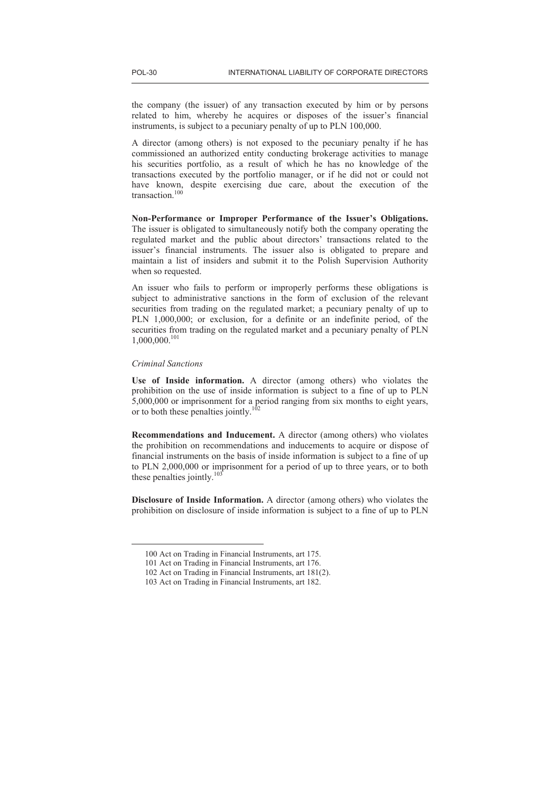the company (the issuer) of any transaction executed by him or by persons related to him, whereby he acquires or disposes of the issuer's financial instruments, is subject to a pecuniary penalty of up to PLN 100,000.

A director (among others) is not exposed to the pecuniary penalty if he has commissioned an authorized entity conducting brokerage activities to manage his securities portfolio, as a result of which he has no knowledge of the transactions executed by the portfolio manager, or if he did not or could not have known, despite exercising due care, about the execution of the transaction.<sup>100</sup>

**Non-Performance or Improper Performance of the Issuer's Obligations.** The issuer is obligated to simultaneously notify both the company operating the regulated market and the public about directors' transactions related to the issuer's financial instruments. The issuer also is obligated to prepare and maintain a list of insiders and submit it to the Polish Supervision Authority when so requested.

An issuer who fails to perform or improperly performs these obligations is subject to administrative sanctions in the form of exclusion of the relevant securities from trading on the regulated market; a pecuniary penalty of up to PLN 1,000,000; or exclusion, for a definite or an indefinite period, of the securities from trading on the regulated market and a pecuniary penalty of PLN 1,000,000.<sup>101</sup>

## *Criminal Sanctions*

 $\overline{a}$ 

**Use of Inside information.** A director (among others) who violates the prohibition on the use of inside information is subject to a fine of up to PLN 5,000,000 or imprisonment for a period ranging from six months to eight years, or to both these penalties jointly.<sup>102</sup>

**Recommendations and Inducement.** A director (among others) who violates the prohibition on recommendations and inducements to acquire or dispose of financial instruments on the basis of inside information is subject to a fine of up to PLN 2,000,000 or imprisonment for a period of up to three years, or to both these penalties jointly.<sup>103</sup>

**Disclosure of Inside Information.** A director (among others) who violates the prohibition on disclosure of inside information is subject to a fine of up to PLN

<sup>100</sup> Act on Trading in Financial Instruments, art 175.

<sup>101</sup> Act on Trading in Financial Instruments, art 176.

<sup>102</sup> Act on Trading in Financial Instruments, art 181(2).

<sup>103</sup> Act on Trading in Financial Instruments, art 182.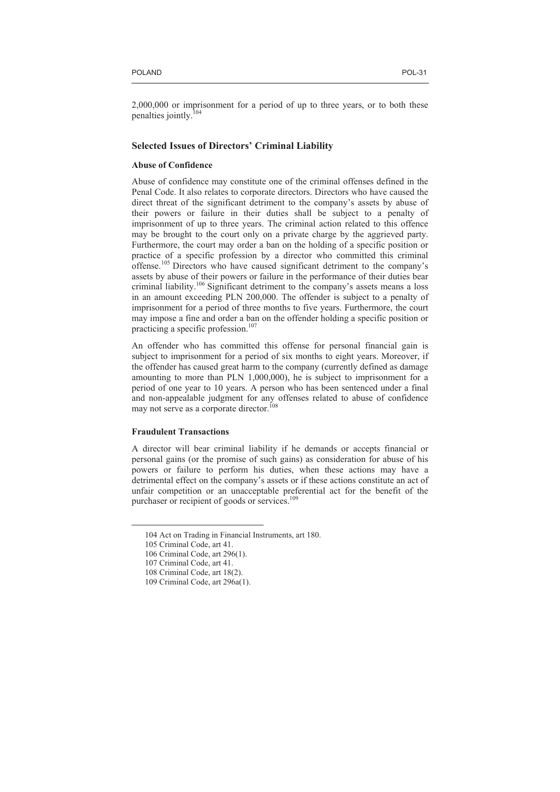2,000,000 or imprisonment for a period of up to three years, or to both these penalties jointly.<sup>104</sup>

# **Selected Issues of Directors' Criminal Liability**

# **Abuse of Confidence**

Abuse of confidence may constitute one of the criminal offenses defined in the Penal Code. It also relates to corporate directors. Directors who have caused the direct threat of the significant detriment to the company's assets by abuse of their powers or failure in their duties shall be subject to a penalty of imprisonment of up to three years. The criminal action related to this offence may be brought to the court only on a private charge by the aggrieved party. Furthermore, the court may order a ban on the holding of a specific position or practice of a specific profession by a director who committed this criminal offense.<sup>105</sup> Directors who have caused significant detriment to the company's assets by abuse of their powers or failure in the performance of their duties bear criminal liability.<sup>106</sup> Significant detriment to the company's assets means a loss in an amount exceeding PLN 200,000. The offender is subject to a penalty of imprisonment for a period of three months to five years. Furthermore, the court may impose a fine and order a ban on the offender holding a specific position or practicing a specific profession.<sup>107</sup>

An offender who has committed this offense for personal financial gain is subject to imprisonment for a period of six months to eight years. Moreover, if the offender has caused great harm to the company (currently defined as damage amounting to more than PLN 1,000,000), he is subject to imprisonment for a period of one year to 10 years. A person who has been sentenced under a final and non-appealable judgment for any offenses related to abuse of confidence may not serve as a corporate director.<sup>10</sup>

## **Fraudulent Transactions**

A director will bear criminal liability if he demands or accepts financial or personal gains (or the promise of such gains) as consideration for abuse of his powers or failure to perform his duties, when these actions may have a detrimental effect on the company's assets or if these actions constitute an act of unfair competition or an unacceptable preferential act for the benefit of the purchaser or recipient of goods or services.<sup>109</sup>

<sup>104</sup> Act on Trading in Financial Instruments, art 180.

<sup>105</sup> Criminal Code, art 41.

<sup>106</sup> Criminal Code, art 296(1).

<sup>107</sup> Criminal Code, art 41.

<sup>108</sup> Criminal Code, art 18(2).

<sup>109</sup> Criminal Code, art 296a(1).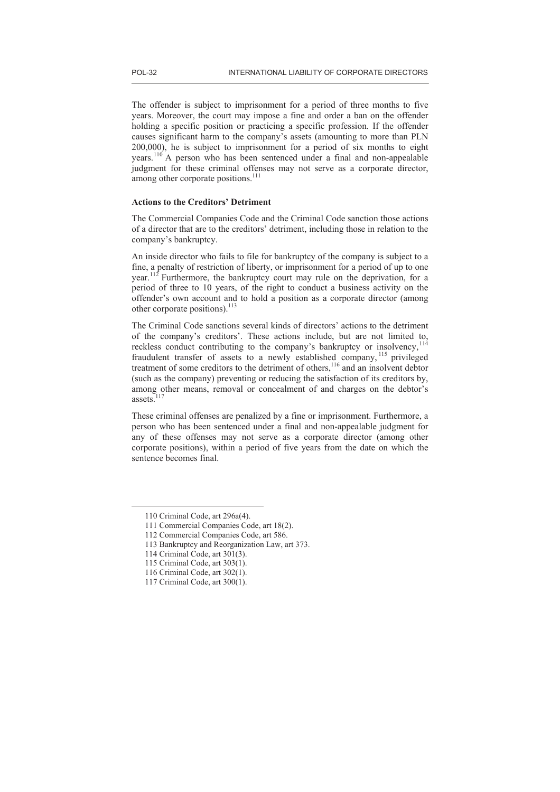The offender is subject to imprisonment for a period of three months to five years. Moreover, the court may impose a fine and order a ban on the offender holding a specific position or practicing a specific profession. If the offender causes significant harm to the company's assets (amounting to more than PLN 200,000), he is subject to imprisonment for a period of six months to eight years.<sup>110</sup> A person who has been sentenced under a final and non-appealable judgment for these criminal offenses may not serve as a corporate director, among other corporate positions.<sup>111</sup>

# **Actions to the Creditors' Detriment**

The Commercial Companies Code and the Criminal Code sanction those actions of a director that are to the creditors' detriment, including those in relation to the company's bankruptcy.

An inside director who fails to file for bankruptcy of the company is subject to a fine, a penalty of restriction of liberty, or imprisonment for a period of up to one year.<sup>112</sup> Furthermore, the bankruptcy court may rule on the deprivation, for a period of three to 10 years, of the right to conduct a business activity on the offender's own account and to hold a position as a corporate director (among other corporate positions).<sup>113</sup>

The Criminal Code sanctions several kinds of directors' actions to the detriment of the company's creditors'. These actions include, but are not limited to, reckless conduct contributing to the company's bankruptcy or insolvency,<sup>114</sup> fraudulent transfer of assets to a newly established company, <sup>115</sup> privileged treatment of some creditors to the detriment of others,<sup>116</sup> and an insolvent debtor (such as the company) preventing or reducing the satisfaction of its creditors by, among other means, removal or concealment of and charges on the debtor's assets.

These criminal offenses are penalized by a fine or imprisonment. Furthermore, a person who has been sentenced under a final and non-appealable judgment for any of these offenses may not serve as a corporate director (among other corporate positions), within a period of five years from the date on which the sentence becomes final.

<sup>110</sup> Criminal Code, art 296a(4).

<sup>111</sup> Commercial Companies Code, art 18(2).

<sup>112</sup> Commercial Companies Code, art 586.

<sup>113</sup> Bankruptcy and Reorganization Law, art 373.

<sup>114</sup> Criminal Code, art 301(3).

<sup>115</sup> Criminal Code, art 303(1).

<sup>116</sup> Criminal Code, art 302(1).

<sup>117</sup> Criminal Code, art 300(1).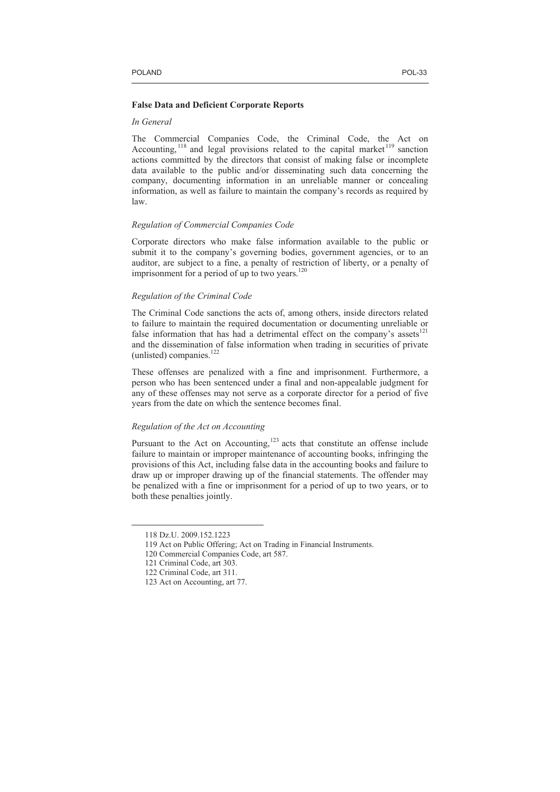#### **False Data and Deficient Corporate Reports**

# *In General*

The Commercial Companies Code, the Criminal Code, the Act on Accounting, <sup>118</sup> and legal provisions related to the capital market<sup>119</sup> sanction actions committed by the directors that consist of making false or incomplete data available to the public and/or disseminating such data concerning the company, documenting information in an unreliable manner or concealing information, as well as failure to maintain the company's records as required by law.

## *Regulation of Commercial Companies Code*

Corporate directors who make false information available to the public or submit it to the company's governing bodies, government agencies, or to an auditor, are subject to a fine, a penalty of restriction of liberty, or a penalty of imprisonment for a period of up to two years.<sup>120</sup>

# *Regulation of the Criminal Code*

The Criminal Code sanctions the acts of, among others, inside directors related to failure to maintain the required documentation or documenting unreliable or false information that has had a detrimental effect on the company's assets $^{121}$ and the dissemination of false information when trading in securities of private (unlisted) companies.<sup>122</sup>

These offenses are penalized with a fine and imprisonment. Furthermore, a person who has been sentenced under a final and non-appealable judgment for any of these offenses may not serve as a corporate director for a period of five years from the date on which the sentence becomes final.

# *Regulation of the Act on Accounting*

Pursuant to the Act on Accounting,<sup>123</sup> acts that constitute an offense include failure to maintain or improper maintenance of accounting books, infringing the provisions of this Act, including false data in the accounting books and failure to draw up or improper drawing up of the financial statements. The offender may be penalized with a fine or imprisonment for a period of up to two years, or to both these penalties jointly.

<sup>118</sup> Dz.U. 2009.152.1223

<sup>119</sup> Act on Public Offering; Act on Trading in Financial Instruments.

<sup>120</sup> Commercial Companies Code, art 587.

<sup>121</sup> Criminal Code, art 303.

<sup>122</sup> Criminal Code, art 311.

<sup>123</sup> Act on Accounting, art 77.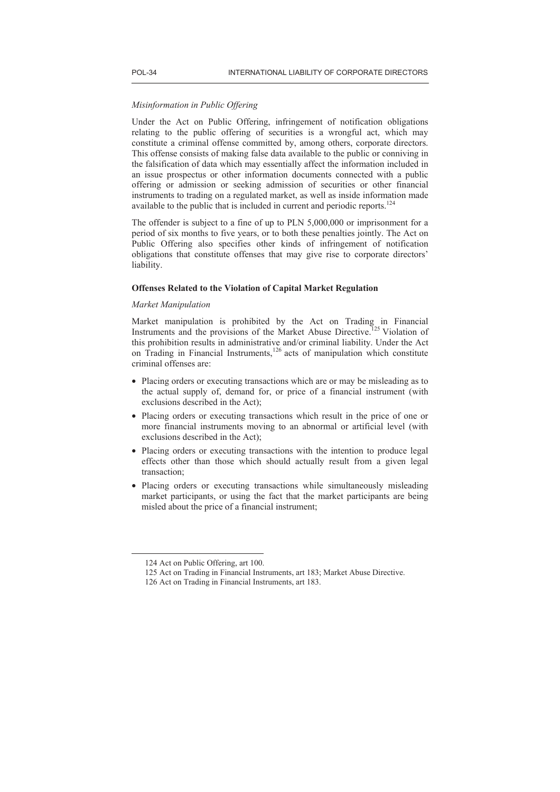# *Misinformation in Public Offering*

Under the Act on Public Offering, infringement of notification obligations relating to the public offering of securities is a wrongful act, which may constitute a criminal offense committed by, among others, corporate directors. This offense consists of making false data available to the public or conniving in the falsification of data which may essentially affect the information included in an issue prospectus or other information documents connected with a public offering or admission or seeking admission of securities or other financial instruments to trading on a regulated market, as well as inside information made available to the public that is included in current and periodic reports.<sup>124</sup>

The offender is subject to a fine of up to PLN 5,000,000 or imprisonment for a period of six months to five years, or to both these penalties jointly. The Act on Public Offering also specifies other kinds of infringement of notification obligations that constitute offenses that may give rise to corporate directors' liability.

#### **Offenses Related to the Violation of Capital Market Regulation**

# *Market Manipulation*

Market manipulation is prohibited by the Act on Trading in Financial Instruments and the provisions of the Market Abuse Directive.<sup>125</sup> Violation of this prohibition results in administrative and/or criminal liability. Under the Act on Trading in Financial Instruments, $126$  acts of manipulation which constitute criminal offenses are:

- Placing orders or executing transactions which are or may be misleading as to the actual supply of, demand for, or price of a financial instrument (with exclusions described in the Act);
- Placing orders or executing transactions which result in the price of one or more financial instruments moving to an abnormal or artificial level (with exclusions described in the Act);
- Placing orders or executing transactions with the intention to produce legal effects other than those which should actually result from a given legal transaction;
- Placing orders or executing transactions while simultaneously misleading market participants, or using the fact that the market participants are being misled about the price of a financial instrument;

<sup>124</sup> Act on Public Offering, art 100.

<sup>125</sup> Act on Trading in Financial Instruments, art 183; Market Abuse Directive.

<sup>126</sup> Act on Trading in Financial Instruments, art 183.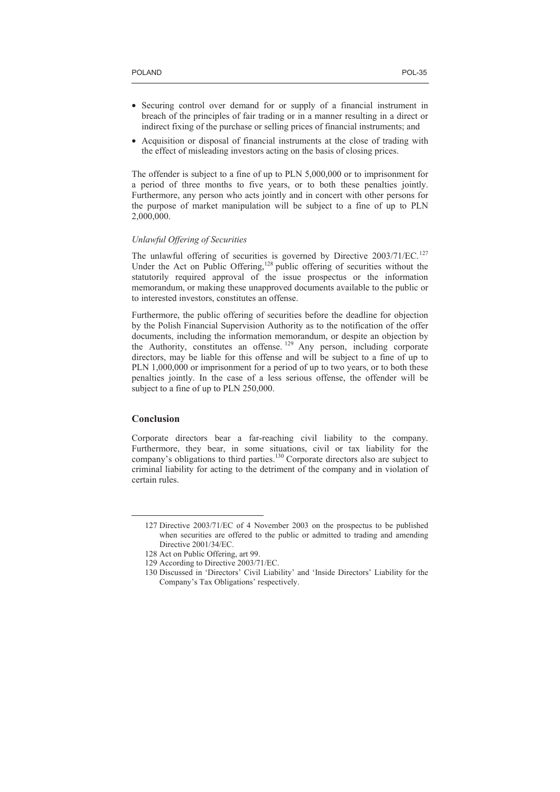- Securing control over demand for or supply of a financial instrument in breach of the principles of fair trading or in a manner resulting in a direct or indirect fixing of the purchase or selling prices of financial instruments; and
- Acquisition or disposal of financial instruments at the close of trading with the effect of misleading investors acting on the basis of closing prices.

The offender is subject to a fine of up to PLN 5,000,000 or to imprisonment for a period of three months to five years, or to both these penalties jointly. Furthermore, any person who acts jointly and in concert with other persons for the purpose of market manipulation will be subject to a fine of up to PLN 2,000,000.

## *Unlawful Offering of Securities*

The unlawful offering of securities is governed by Directive 2003/71/EC.<sup>127</sup> Under the Act on Public Offering,<sup>128</sup> public offering of securities without the statutorily required approval of the issue prospectus or the information memorandum, or making these unapproved documents available to the public or to interested investors, constitutes an offense.

Furthermore, the public offering of securities before the deadline for objection by the Polish Financial Supervision Authority as to the notification of the offer documents, including the information memorandum, or despite an objection by the Authority, constitutes an offense.<sup>129</sup> Any person, including corporate directors, may be liable for this offense and will be subject to a fine of up to PLN 1,000,000 or imprisonment for a period of up to two years, or to both these penalties jointly. In the case of a less serious offense, the offender will be subject to a fine of up to PLN 250,000.

# **Conclusion**

 $\overline{a}$ 

Corporate directors bear a far-reaching civil liability to the company. Furthermore, they bear, in some situations, civil or tax liability for the company's obligations to third parties.<sup>130</sup> Corporate directors also are subject to criminal liability for acting to the detriment of the company and in violation of certain rules.

<sup>127</sup> Directive 2003/71/EC of 4 November 2003 on the prospectus to be published when securities are offered to the public or admitted to trading and amending Directive 2001/34/EC.

<sup>128</sup> Act on Public Offering, art 99.

<sup>129</sup> According to Directive 2003/71/EC.

<sup>130</sup> Discussed in 'Directors' Civil Liability' and 'Inside Directors' Liability for the Company's Tax Obligations' respectively.